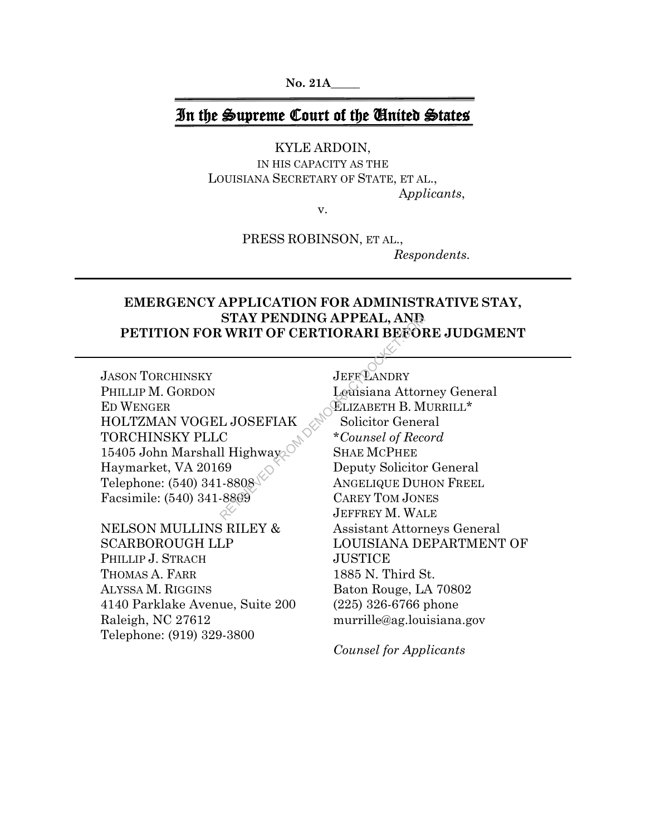**No. 21A\_\_\_\_\_**

# In the Supreme Court of the United States

KYLE ARDOIN,

IN HIS CAPACITY AS THE LOUISIANA SECRETARY OF STATE, ET AL., A*pplicants*,

v.

PRESS ROBINSON, ET AL., *Respondents.*

## **EMERGENCY APPLICATION FOR ADMINISTRATIVE STAY, STAY PENDING APPEAL, AND PETITION FOR WRIT OF CERTIORARI BEFORE JUDGMENT**

JASON TORCHINSKY PHILLIP M. GORDON ED WENGER HOLTZMAN VOGEL JOSEFIAK TORCHINSKY PLLC 15405 John Marshall Highway Haymarket, VA 20169 Telephone: (540) 341-8808 Facsimile: (540) 341-8809

NELSON MULLINS RILEY & SCARBOROUGH LLP PHILLIP J. STRACH THOMAS A. FARR ALYSSA M. RIGGINS 4140 Parklake Avenue, Suite 200 Raleigh, NC 27612 Telephone: (919) 329-3800

**JEFF LANDRY** Louisiana Attorney General ELIZABETH B. MURRILL\* Solicitor General \**Counsel of Record* SHAE MCPHEE Deputy Solicitor General ANGELIQUE DUHON FREEL CAREY TOM JONES JEFFREY M. WALE Assistant Attorneys General LOUISIANA DEPARTMENT OF **JUSTICE** 1885 N. Third St. Baton Rouge, LA 70802 (225) 326-6766 phone murrille@ag.louisiana.gov STAY PENDING APPEAL, AND<br>
RETRIORARI BEFORM UNIT OF CERTIORARI BEFORE<br>
LOWISIAN LOWISIAN LOWISIAN RETRIEVED AND SOLUTION CORRECT TO A SHAE MCPHEE<br>
SOLUTION DEMOCRACY DEPUTY SOLUTION<br>
SHAE MCPHEE<br>
RESORT DEPUTY SOLUTION<br>
DE

*Counsel for Applicants*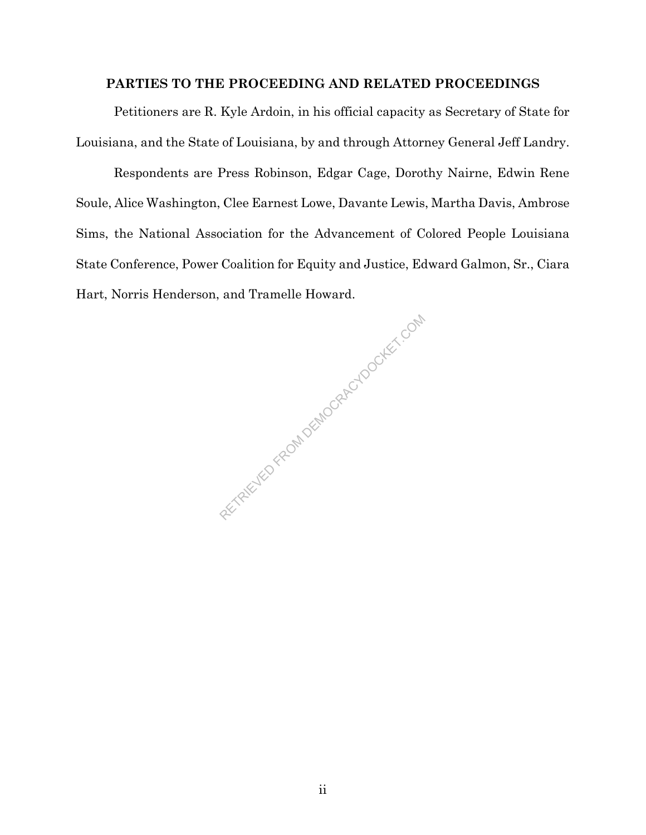## **PARTIES TO THE PROCEEDING AND RELATED PROCEEDINGS**

Petitioners are R. Kyle Ardoin, in his official capacity as Secretary of State for Louisiana, and the State of Louisiana, by and through Attorney General Jeff Landry.

Respondents are Press Robinson, Edgar Cage, Dorothy Nairne, Edwin Rene Soule, Alice Washington, Clee Earnest Lowe, Davante Lewis, Martha Davis, Ambrose Sims, the National Association for the Advancement of Colored People Louisiana State Conference, Power Coalition for Equity and Justice, Edward Galmon, Sr., Ciara Hart, Norris Henderson, and Tramelle Howard.

RETRIEVED FROM DEMOCRACYDOCKET.COM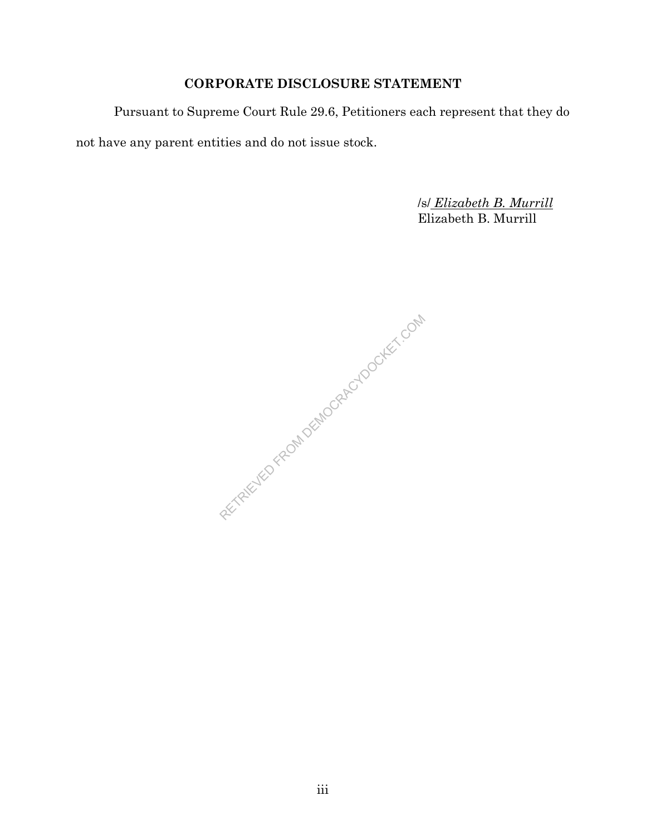# **CORPORATE DISCLOSURE STATEMENT**

Pursuant to Supreme Court Rule 29.6, Petitioners each represent that they do

not have any parent entities and do not issue stock.

/s/ *Elizabeth B. Murrill* Elizabeth B. Murrill

RETRIEVED FROM DEMOCRACYDOCKET.COM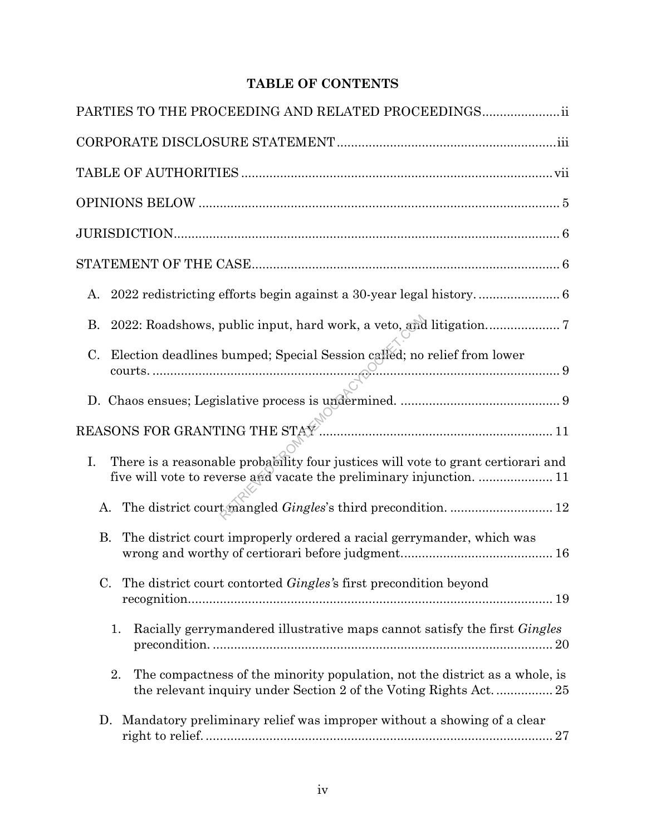# **TABLE OF CONTENTS**

| PARTIES TO THE PROCEEDING AND RELATED PROCEEDINGS ii                                                                                                            |
|-----------------------------------------------------------------------------------------------------------------------------------------------------------------|
|                                                                                                                                                                 |
|                                                                                                                                                                 |
|                                                                                                                                                                 |
|                                                                                                                                                                 |
|                                                                                                                                                                 |
| A.                                                                                                                                                              |
| 2022: Roadshows, public input, hard work, a veto, and litigation7<br>В.                                                                                         |
| Election deadlines bumped; Special Session called; no relief from lower<br>C.                                                                                   |
|                                                                                                                                                                 |
|                                                                                                                                                                 |
| There is a reasonable probability four justices will vote to grant certiorari and<br>I.<br>five will vote to reverse and vacate the preliminary injunction.  11 |
| The district court mangled Gingles's third precondition.  12<br>А.                                                                                              |
| <b>B.</b><br>The district court improperly ordered a racial gerrymander, which was                                                                              |
| The district court contorted <i>Gingles's</i> first precondition beyond<br>C.                                                                                   |
| Racially gerrymandered illustrative maps cannot satisfy the first Gingles<br>1.                                                                                 |
| The compactness of the minority population, not the district as a whole, is<br>2.<br>the relevant inquiry under Section 2 of the Voting Rights Act 25           |
| Mandatory preliminary relief was improper without a showing of a clear<br>D.                                                                                    |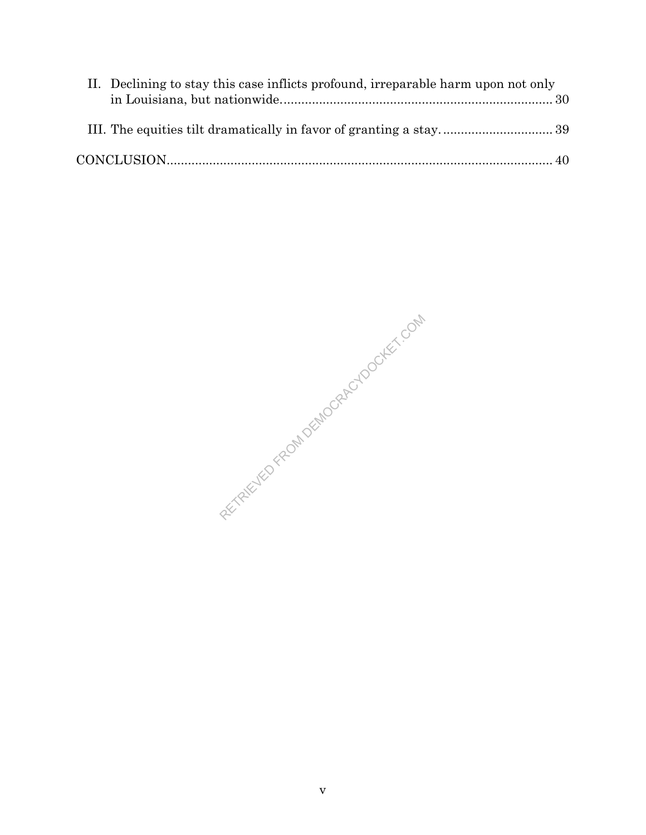| II. Declining to stay this case inflicts profound, irreparable harm upon not only |  |
|-----------------------------------------------------------------------------------|--|
|                                                                                   |  |
|                                                                                   |  |
|                                                                                   |  |

RETRIEVED FROM DEMOCRACYDOCKET.COM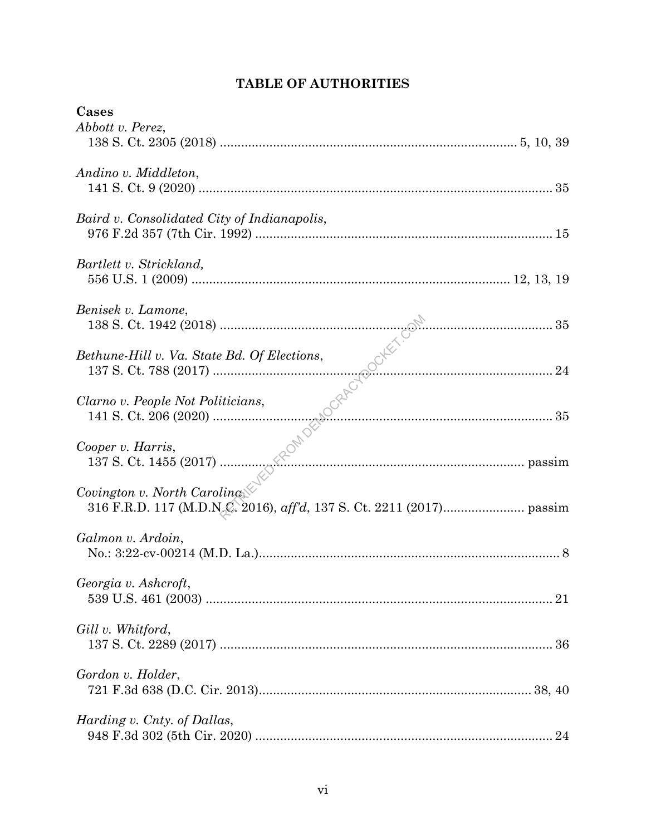| Cases                                       |  |
|---------------------------------------------|--|
| Abbott v. Perez,                            |  |
|                                             |  |
|                                             |  |
| Andino v. Middleton,                        |  |
|                                             |  |
|                                             |  |
| Baird v. Consolidated City of Indianapolis, |  |
|                                             |  |
|                                             |  |
| Bartlett v. Strickland,                     |  |
|                                             |  |
|                                             |  |
| Benisek v. Lamone,                          |  |
|                                             |  |
|                                             |  |
| Bethune-Hill v. Va. State Bd. Of Elections, |  |
|                                             |  |
|                                             |  |
|                                             |  |
| Clarno v. People Not Politicians,           |  |
|                                             |  |
|                                             |  |
| Cooper v. Harris,                           |  |
|                                             |  |
|                                             |  |
| Covington v. North Carolina                 |  |
|                                             |  |
|                                             |  |
| Galmon v. Ardoin,                           |  |
|                                             |  |
|                                             |  |
| Georgia v. Ashcroft,                        |  |
|                                             |  |
|                                             |  |
| Gill v. Whitford,                           |  |
|                                             |  |
|                                             |  |
|                                             |  |
| Gordon v. Holder,                           |  |
|                                             |  |
|                                             |  |
| Harding v. Cnty. of Dallas,                 |  |
|                                             |  |

# **TABLE OF AUTHORITIES**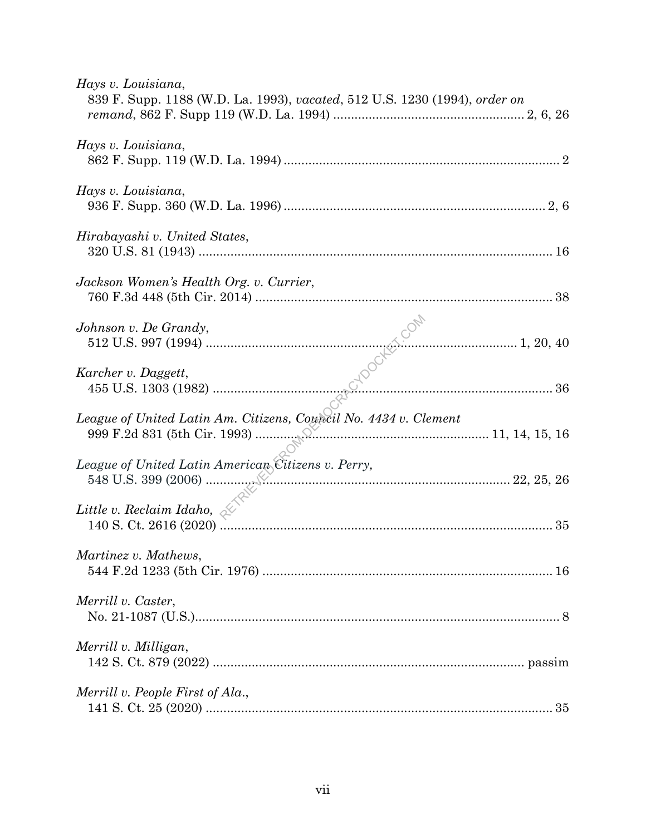| Hays v. Louisiana,<br>839 F. Supp. 1188 (W.D. La. 1993), vacated, 512 U.S. 1230 (1994), order on |  |
|--------------------------------------------------------------------------------------------------|--|
| Hays v. Louisiana,                                                                               |  |
| Hays v. Louisiana,                                                                               |  |
| Hirabayashi v. United States,                                                                    |  |
| Jackson Women's Health Org. v. Currier,                                                          |  |
| Johnson v. De Grandy,                                                                            |  |
| Karcher v. Daggett,                                                                              |  |
| League of United Latin Am. Citizens, Council No. 4434 v. Clement                                 |  |
| League of United Latin American Citizens v. Perry,                                               |  |
| Little v. Reclaim Idaho, $\mathcal{A}$                                                           |  |
| Martinez v. Mathews,                                                                             |  |
| Merrill v. Caster,                                                                               |  |
| Merrill v. Milligan,                                                                             |  |
| Merrill v. People First of Ala.,                                                                 |  |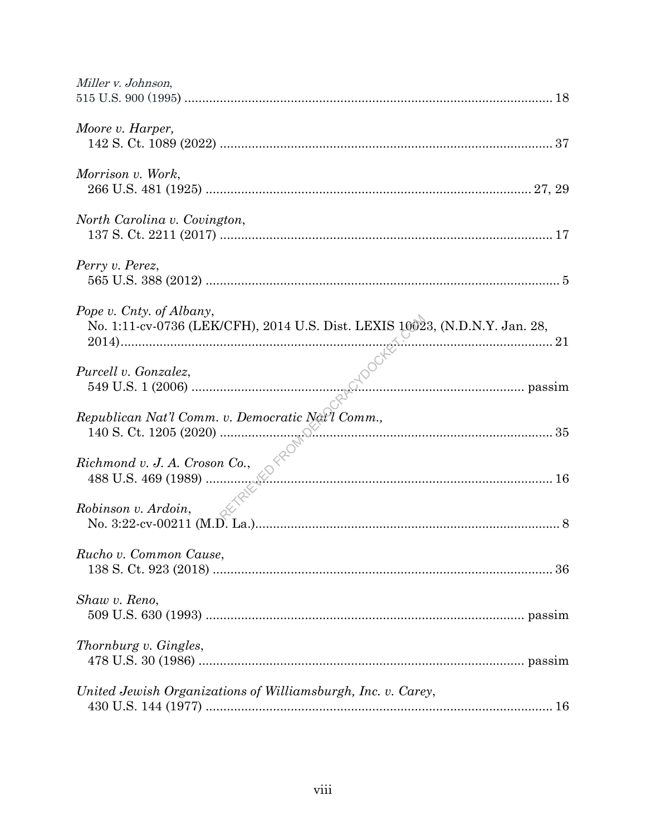| Miller v. Johnson,                                                                                                     |  |
|------------------------------------------------------------------------------------------------------------------------|--|
| Moore v. Harper,                                                                                                       |  |
| Morrison v. Work,                                                                                                      |  |
| North Carolina v. Covington,                                                                                           |  |
| Perry v. Perez,                                                                                                        |  |
| Pope v. Cnty. of Albany,<br>No. 1:11-cv-0736 (LEK/CFH), 2014 U.S. Dist. LEXIS 10023, (N.D.N.Y. Jan. 28,<br>$\sqrt{21}$ |  |
| Purcell v. Gonzalez,                                                                                                   |  |
|                                                                                                                        |  |
|                                                                                                                        |  |
| Robinson v. Ardoin,                                                                                                    |  |
| Rucho v. Common Cause,                                                                                                 |  |
| Shaw v. Reno,                                                                                                          |  |
| Thornburg v. Gingles,                                                                                                  |  |
| United Jewish Organizations of Williamsburgh, Inc. v. Carey,                                                           |  |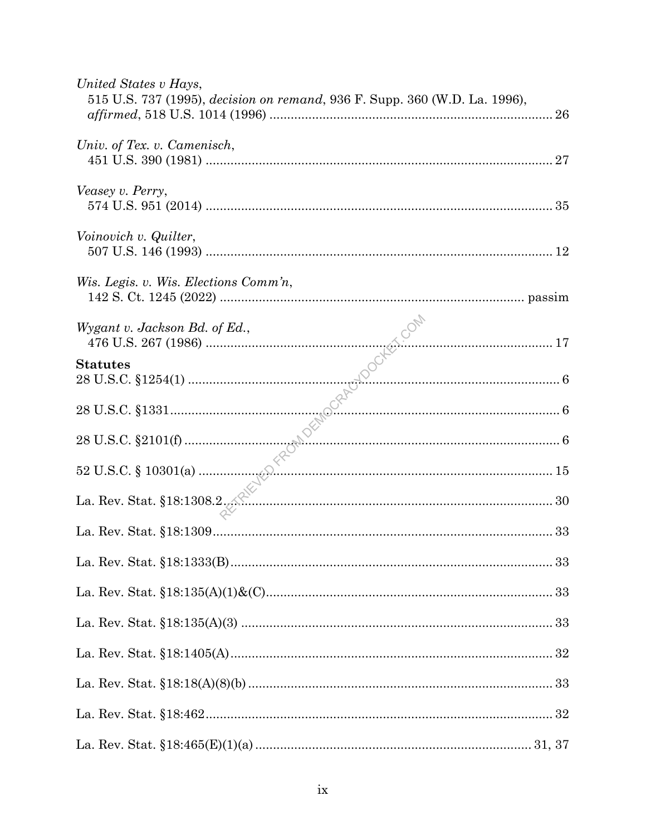| United States v Hays,<br>515 U.S. 737 (1995), decision on remand, 936 F. Supp. 360 (W.D. La. 1996), |  |
|-----------------------------------------------------------------------------------------------------|--|
| Univ. of Tex. v. Camenisch,                                                                         |  |
| Veasey v. Perry,                                                                                    |  |
| Voinovich v. Quilter,                                                                               |  |
| Wis. Legis. v. Wis. Elections Comm'n,                                                               |  |
|                                                                                                     |  |
|                                                                                                     |  |
|                                                                                                     |  |
|                                                                                                     |  |
|                                                                                                     |  |
|                                                                                                     |  |
|                                                                                                     |  |
|                                                                                                     |  |
|                                                                                                     |  |
|                                                                                                     |  |
|                                                                                                     |  |
|                                                                                                     |  |
|                                                                                                     |  |
|                                                                                                     |  |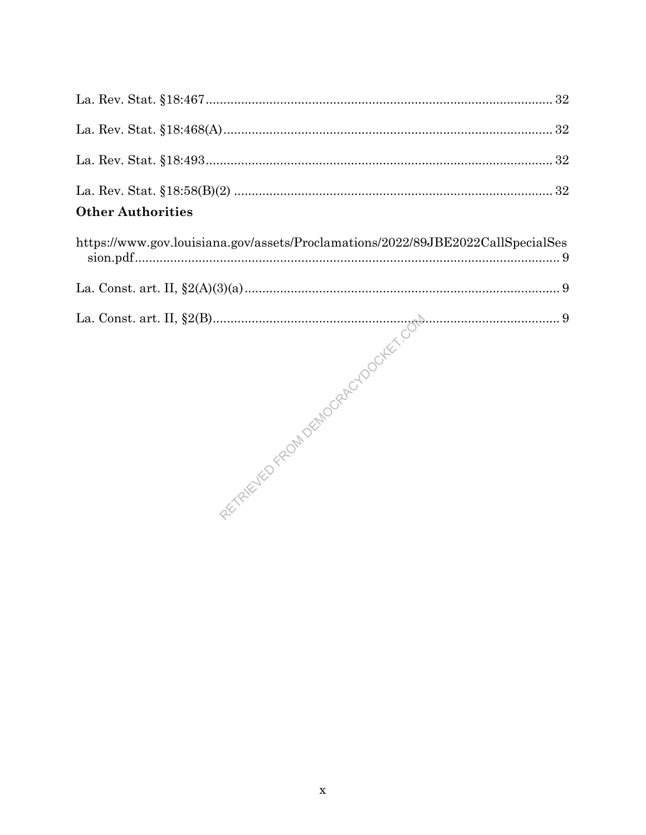| <b>Other Authorities</b> |  |
|--------------------------|--|
|                          |  |
|                          |  |
|                          |  |
|                          |  |

| https://www.gov.louisiana.gov/assets/Proclamations/2022/89JBE2022CallSpecialSes |  |
|---------------------------------------------------------------------------------|--|
|                                                                                 |  |
|                                                                                 |  |

REVENUE PROVIDERADO DE LES COM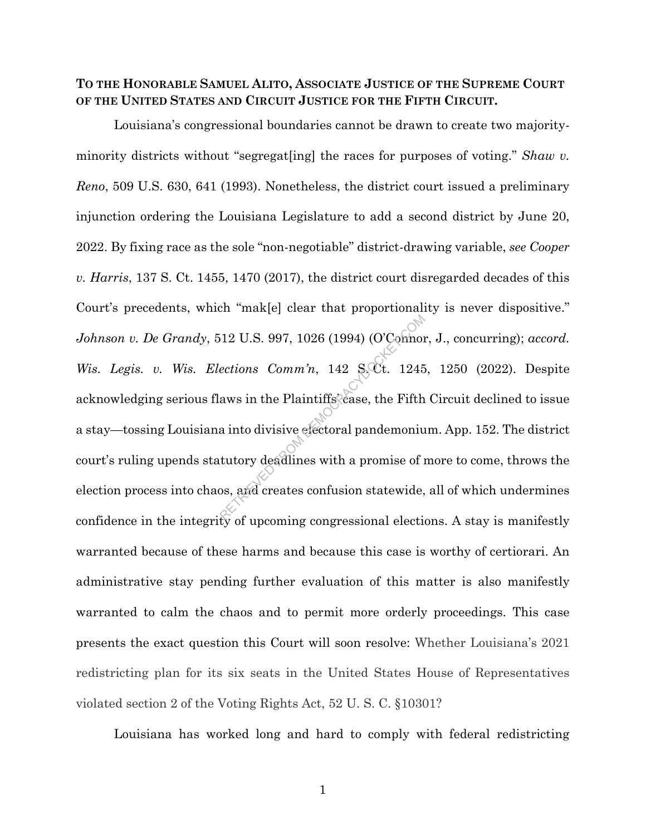## **TO THE HONORABLE SAMUEL ALITO, ASSOCIATE JUSTICE OF THE SUPREME COURT OF THE UNITED STATES AND CIRCUIT JUSTICE FOR THE FIFTH CIRCUIT.**

Louisiana's congressional boundaries cannot be drawn to create two majorityminority districts without "segregat[ing] the races for purposes of voting." *Shaw v. Reno*, 509 U.S. 630, 641 (1993). Nonetheless, the district court issued a preliminary injunction ordering the Louisiana Legislature to add a second district by June 20, 2022. By fixing race as the sole "non-negotiable" district-drawing variable, *see Cooper v. Harris*, 137 S. Ct. 1455, 1470 (2017), the district court disregarded decades of this Court's precedents, which "mak[e] clear that proportionality is never dispositive." *Johnson v. De Grandy*, 512 U.S. 997, 1026 (1994) (O'Connor, J., concurring); *accord. Wis. Legis. v. Wis. Elections Comm'n,* 142 S. Ct. 1245, 1250 (2022). Despite acknowledging serious flaws in the Plaintiffs<sup>2</sup> case, the Fifth Circuit declined to issue a stay—tossing Louisiana into divisive electoral pandemonium. App. 152. The district court's ruling upends statutory deadlines with a promise of more to come, throws the election process into chaos, and creates confusion statewide, all of which undermines confidence in the integrity of upcoming congressional elections. A stay is manifestly warranted because of these harms and because this case is worthy of certiorari. An administrative stay pending further evaluation of this matter is also manifestly warranted to calm the chaos and to permit more orderly proceedings. This case presents the exact question this Court will soon resolve: Whether Louisiana's 2021 redistricting plan for its six seats in the United States House of Representatives violated section 2 of the Voting Rights Act, 52 U. S. C. §10301?  $R^{12}$  U.S. 997, 1026 (1994) (O'Comnon<br>
ections Comm'n, 142 S.Ct. 1245<br>
aws in the Plaintiffs<sup>2</sup>case, the Fifth<br>
a into divisive electoral pandemoniu<br>
tutory deadlines with a promise of i<br>
os, and creates confusion state

Louisiana has worked long and hard to comply with federal redistricting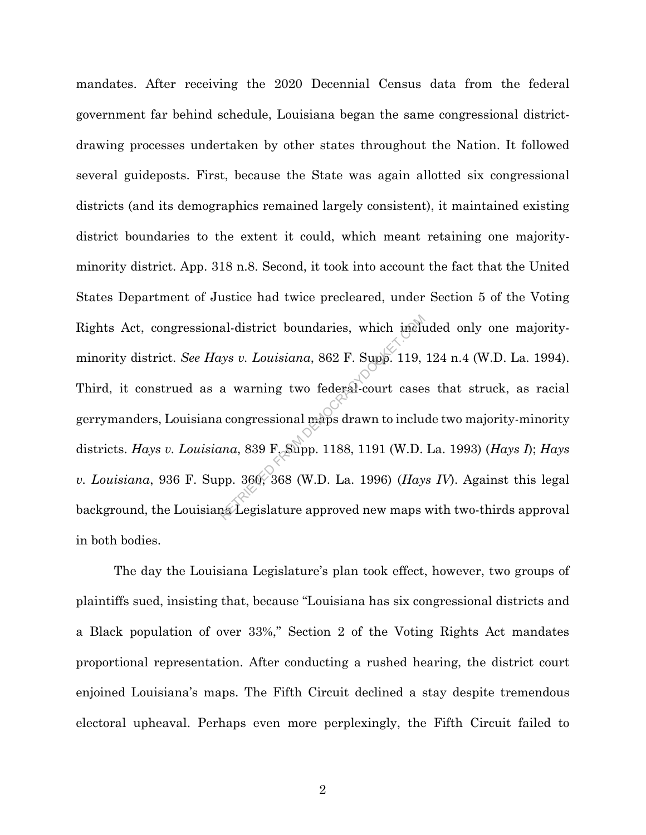mandates. After receiving the 2020 Decennial Census data from the federal government far behind schedule, Louisiana began the same congressional districtdrawing processes undertaken by other states throughout the Nation. It followed several guideposts. First, because the State was again allotted six congressional districts (and its demographics remained largely consistent), it maintained existing district boundaries to the extent it could, which meant retaining one majorityminority district. App. 318 n.8. Second, it took into account the fact that the United States Department of Justice had twice precleared, under Section 5 of the Voting Rights Act, congressional-district boundaries, which included only one majorityminority district. *See Hays v. Louisiana*, 862 F. Supp. 119, 124 n.4 (W.D. La. 1994). Third, it construed as a warning two federal-court cases that struck, as racial gerrymanders, Louisiana congressional maps drawn to include two majority-minority districts. *Hays v. Louisiana*, 839 F. Supp. 1188, 1191 (W.D. La. 1993) (*Hays I*); *Hays v. Louisiana*, 936 F. Supp. 360, 368 (W.D. La. 1996) (*Hays IV*). Against this legal background, the Louisiana Legislature approved new maps with two-thirds approval in both bodies. al-district boundaries, which included<br>tys v. Louisiana, 862 F. Supp. 119,<br>a warning two federal-court cases<br>a congressional maps drawn to inclu<br>tuna, 839 F. Supp. 1188, 1191 (W.D.<br>pp. 360, 368 (W.D. La. 1996) (Hay

The day the Louisiana Legislature's plan took effect, however, two groups of plaintiffs sued, insisting that, because "Louisiana has six congressional districts and a Black population of over 33%," Section 2 of the Voting Rights Act mandates proportional representation. After conducting a rushed hearing, the district court enjoined Louisiana's maps. The Fifth Circuit declined a stay despite tremendous electoral upheaval. Perhaps even more perplexingly, the Fifth Circuit failed to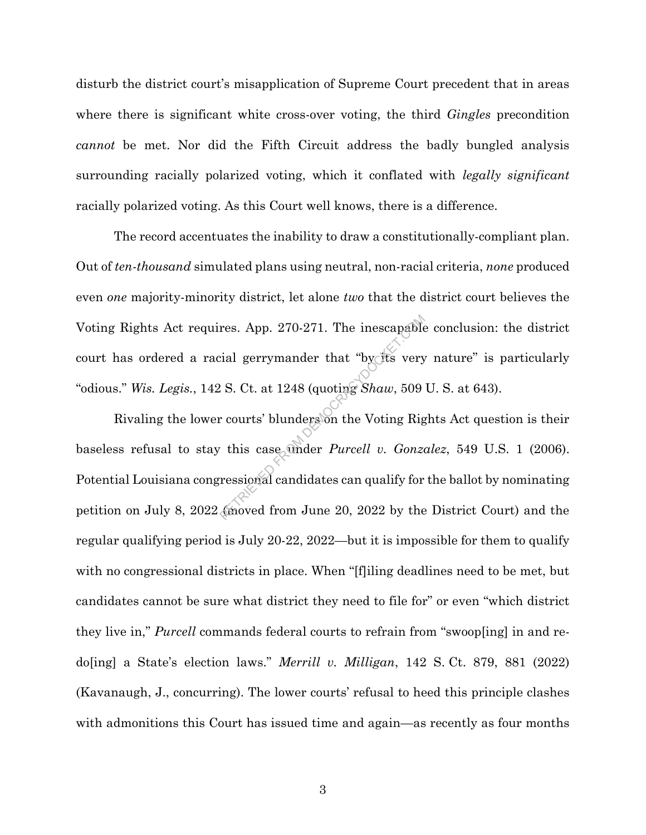disturb the district court's misapplication of Supreme Court precedent that in areas where there is significant white cross-over voting, the third *Gingles* precondition *cannot* be met. Nor did the Fifth Circuit address the badly bungled analysis surrounding racially polarized voting, which it conflated with *legally significant* racially polarized voting. As this Court well knows, there is a difference.

The record accentuates the inability to draw a constitutionally-compliant plan. Out of *ten-thousand* simulated plans using neutral, non-racial criteria, *none* produced even *one* majority-minority district, let alone *two* that the district court believes the Voting Rights Act requires. App. 270-271. The inescapable conclusion: the district court has ordered a racial gerrymander that "by its very nature" is particularly "odious." *Wis. Legis.*, 142 S. Ct. at 1248 (quoting *Shaw*, 509 U. S. at 643).

Rivaling the lower courts' blunders on the Voting Rights Act question is their baseless refusal to stay this case under *Purcell v. Gonzalez*, 549 U.S. 1 (2006). Potential Louisiana congressional candidates can qualify for the ballot by nominating petition on July 8, 2022 (moved from June 20, 2022 by the District Court) and the regular qualifying period is July 20-22, 2022—but it is impossible for them to qualify with no congressional districts in place. When "[f]iling deadlines need to be met, but candidates cannot be sure what district they need to file for" or even "which district they live in," *Purcell* commands federal courts to refrain from "swoop[ing] in and redo[ing] a State's election laws." *Merrill v. Milligan*, 142 S. Ct. 879, 881 (2022) (Kavanaugh, J., concurring). The lower courts' refusal to heed this principle clashes with admonitions this Court has issued time and again—as recently as four months res. App. 270-271. The inescapable<br>ial gerrymander that "by fts very<br>2 S. Ct. at 1248 (quoting *Shaw*, 509<br>c courts' blunders on the Voting Rig<br>this case onder *Purcell v. Gonze*<br>ressional candidates can qualify for<br>tinove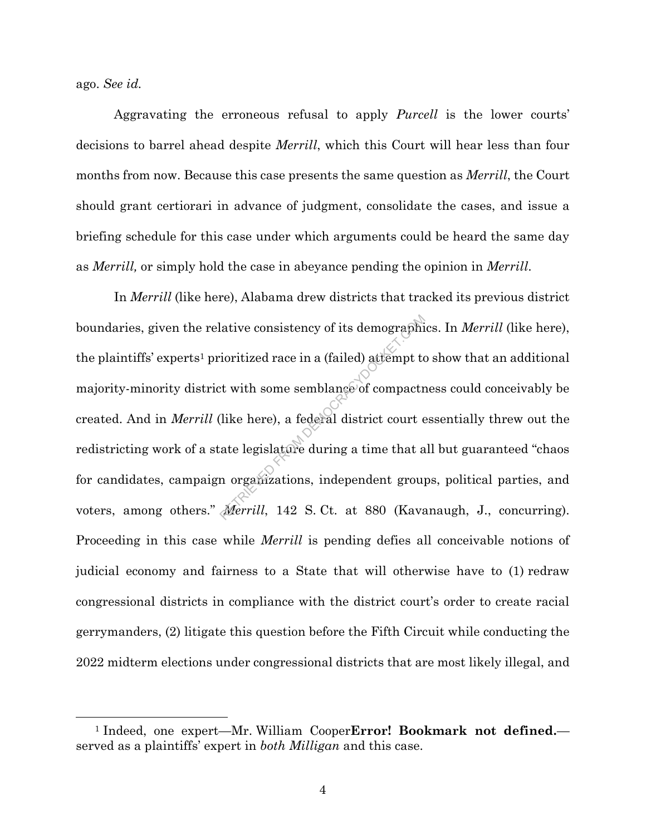ago. *See id.*

Aggravating the erroneous refusal to apply *Purcell* is the lower courts' decisions to barrel ahead despite *Merrill*, which this Court will hear less than four months from now. Because this case presents the same question as *Merrill*, the Court should grant certiorari in advance of judgment, consolidate the cases, and issue a briefing schedule for this case under which arguments could be heard the same day as *Merrill,* or simply hold the case in abeyance pending the opinion in *Merrill*.

In *Merrill* (like here), Alabama drew districts that tracked its previous district boundaries, given the relative consistency of its demographics. In *Merrill* (like here), the plaintiffs' experts<sup>1</sup> prioritized race in a (failed) attempt to show that an additional majority-minority district with some semblance of compactness could conceivably be created. And in *Merrill* (like here), a federal district court essentially threw out the redistricting work of a state legislature during a time that all but guaranteed "chaos for candidates, campaign organizations, independent groups, political parties, and voters, among others." *Merrill*, 142 S. Ct. at 880 (Kavanaugh, J., concurring). Proceeding in this case while *Merrill* is pending defies all conceivable notions of judicial economy and fairness to a State that will otherwise have to (1) redraw congressional districts in compliance with the district court's order to create racial gerrymanders, (2) litigate this question before the Fifth Circuit while conducting the 2022 midterm elections under congressional districts that are most likely illegal, and lative consistency of its demographic<br>ioritized race in a (failed) attempt to<br>t with some semblance of compactr<br>(like here), a federal district court e<br>ate legislature during a time that a<br>m organizations, independent grou

<sup>1</sup> Indeed, one expert—Mr. William Cooper**Error! Bookmark not defined.** served as a plaintiffs' expert in *both Milligan* and this case.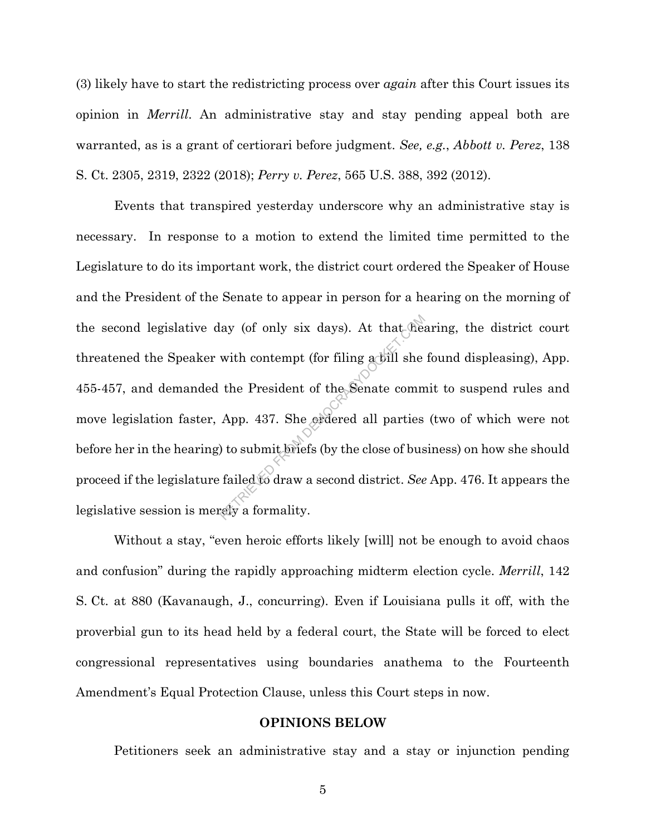(3) likely have to start the redistricting process over *again* after this Court issues its opinion in *Merrill*. An administrative stay and stay pending appeal both are warranted, as is a grant of certiorari before judgment. *See, e.g.*, *Abbott v. Perez*, 138 S. Ct. 2305, 2319, 2322 (2018); *Perry v. Perez*, 565 U.S. 388, 392 (2012).

Events that transpired yesterday underscore why an administrative stay is necessary. In response to a motion to extend the limited time permitted to the Legislature to do its important work, the district court ordered the Speaker of House and the President of the Senate to appear in person for a hearing on the morning of the second legislative day (of only six days). At that hearing, the district court threatened the Speaker with contempt (for filing a bill she found displeasing), App. 455-457, and demanded the President of the Senate commit to suspend rules and move legislation faster, App. 437. She ordered all parties (two of which were not before her in the hearing) to submit briefs (by the close of business) on how she should proceed if the legislature failed to draw a second district. *See* App. 476. It appears the legislative session is merely a formality. lay (of only six days). At that the<br>with contempt (for filing a bill she<br>the President of the Senate comm<br>App. 437. She erdered all parties<br>b to submit briefs (by the close of bus<br>failed to draw a second district. See<br>refy

Without a stay, "even heroic efforts likely [will] not be enough to avoid chaos and confusion" during the rapidly approaching midterm election cycle. *Merrill*, 142 S. Ct. at 880 (Kavanaugh, J., concurring). Even if Louisiana pulls it off, with the proverbial gun to its head held by a federal court, the State will be forced to elect congressional representatives using boundaries anathema to the Fourteenth Amendment's Equal Protection Clause, unless this Court steps in now.

#### **OPINIONS BELOW**

Petitioners seek an administrative stay and a stay or injunction pending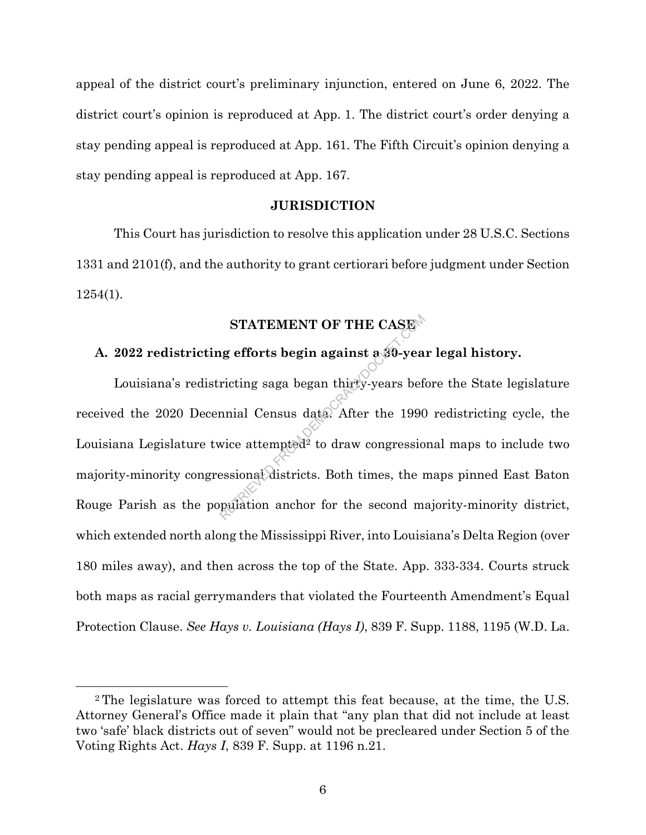appeal of the district court's preliminary injunction, entered on June 6, 2022. The district court's opinion is reproduced at App. 1. The district court's order denying a stay pending appeal is reproduced at App. 161. The Fifth Circuit's opinion denying a stay pending appeal is reproduced at App. 167.

#### **JURISDICTION**

This Court has jurisdiction to resolve this application under 28 U.S.C. Sections 1331 and 2101(f), and the authority to grant certiorari before judgment under Section 1254(1).

# **STATEMENT OF THE CASE**

# **A. 2022 redistricting efforts begin against a 30-year legal history.**

Louisiana's redistricting saga began thirty-years before the State legislature received the 2020 Decennial Census data. After the 1990 redistricting cycle, the Louisiana Legislature twice attempted<sup>2</sup> to draw congressional maps to include two majority-minority congressional districts. Both times, the maps pinned East Baton Rouge Parish as the population anchor for the second majority-minority district, which extended north along the Mississippi River, into Louisiana's Delta Region (over 180 miles away), and then across the top of the State. App. 333-334. Courts struck both maps as racial gerrymanders that violated the Fourteenth Amendment's Equal Protection Clause. *See Hays v. Louisiana (Hays I)*, 839 F. Supp. 1188, 1195 (W.D. La. STATEMENT OF THE CASE<br>ig efforts begin against a 30-yea<br>ricting saga began thirty-years bef<br>mnial Census data. After the 1990<br>wice attempted<sup>2</sup> to draw congressio<br>essional districts. Both times, the regulation anchor for t

<sup>2</sup> The legislature was forced to attempt this feat because, at the time, the U.S. Attorney General's Office made it plain that "any plan that did not include at least two 'safe' black districts out of seven" would not be precleared under Section 5 of the Voting Rights Act. *Hays I*, 839 F. Supp. at 1196 n.21.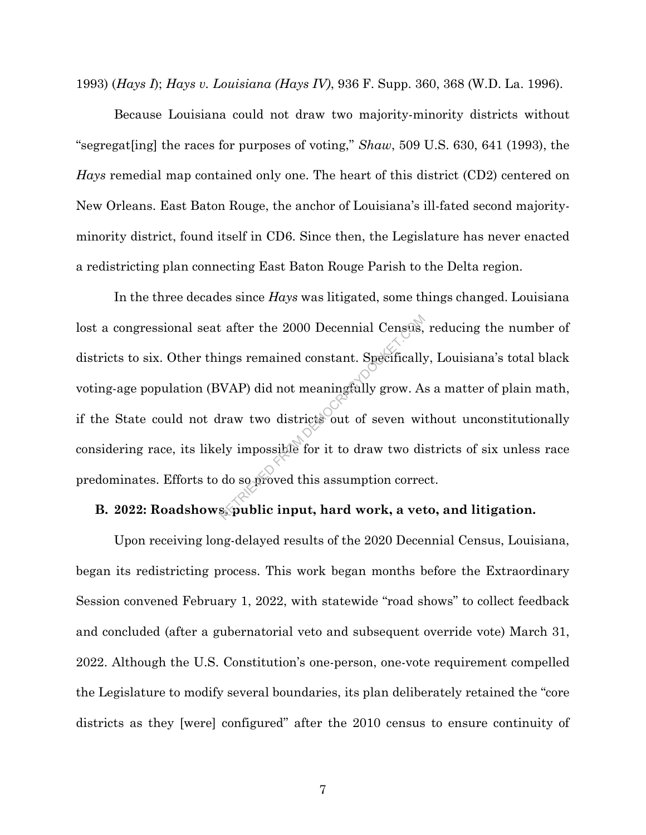1993) (*Hays I*); *Hays v. Louisiana (Hays IV)*, 936 F. Supp. 360, 368 (W.D. La. 1996).

Because Louisiana could not draw two majority-minority districts without "segregat[ing] the races for purposes of voting," *Shaw*, 509 U.S. 630, 641 (1993), the *Hays* remedial map contained only one. The heart of this district (CD2) centered on New Orleans. East Baton Rouge, the anchor of Louisiana's ill-fated second majorityminority district, found itself in CD6. Since then, the Legislature has never enacted a redistricting plan connecting East Baton Rouge Parish to the Delta region.

In the three decades since *Hays* was litigated, some things changed. Louisiana lost a congressional seat after the 2000 Decennial Census, reducing the number of districts to six. Other things remained constant. Specifically, Louisiana's total black voting-age population (BVAP) did not meaningfully grow. As a matter of plain math, if the State could not draw two districts out of seven without unconstitutionally considering race, its likely impossible for it to draw two districts of six unless race predominates. Efforts to do so proved this assumption correct. Example 2000 Decennial Census,<br>
ings remained constant. Specifically<br>
VAP) did not meaningfully grow. As<br>
lraw two districts out of seven wi<br>
ely impossible for it to draw two di<br>
do so proved this assumption corres<br>
spubl

# **B. 2022: Roadshows, public input, hard work, a veto, and litigation.**

Upon receiving long-delayed results of the 2020 Decennial Census, Louisiana, began its redistricting process. This work began months before the Extraordinary Session convened February 1, 2022, with statewide "road shows" to collect feedback and concluded (after a gubernatorial veto and subsequent override vote) March 31, 2022. Although the U.S. Constitution's one-person, one-vote requirement compelled the Legislature to modify several boundaries, its plan deliberately retained the "core districts as they [were] configured" after the 2010 census to ensure continuity of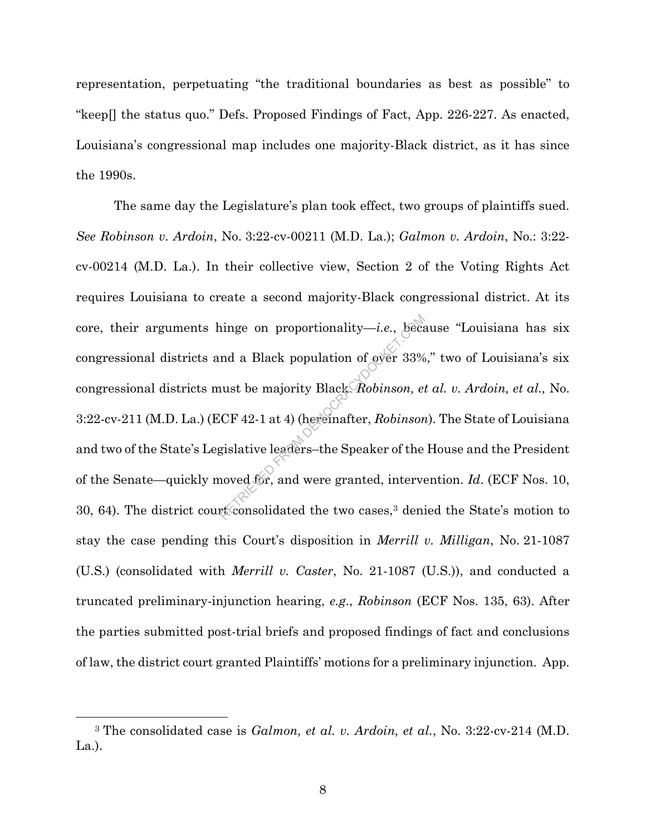representation, perpetuating "the traditional boundaries as best as possible" to "keep[] the status quo." Defs. Proposed Findings of Fact, App. 226-227. As enacted, Louisiana's congressional map includes one majority-Black district, as it has since the 1990s.

The same day the Legislature's plan took effect, two groups of plaintiffs sued. *See Robinson v. Ardoin*, No. 3:22-cv-00211 (M.D. La.); *Galmon v. Ardoin*, No.: 3:22 cv-00214 (M.D. La.). In their collective view, Section 2 of the Voting Rights Act requires Louisiana to create a second majority-Black congressional district. At its core, their arguments hinge on proportionality—*i.e.*, because "Louisiana has six congressional districts and a Black population of over 33%," two of Louisiana's six congressional districts must be majority Black. *Robinson, et al. v. Ardoin, et al.,* No. 3:22-cv-211 (M.D. La.) (ECF 42-1 at 4) (hereinafter, *Robinson*). The State of Louisiana and two of the State's Legislative leaders–the Speaker of the House and the President of the Senate—quickly moved for, and were granted, intervention. *Id*. (ECF Nos. 10, 30, 64). The district court consolidated the two cases,<sup>3</sup> denied the State's motion to stay the case pending this Court's disposition in *Merrill v. Milligan*, No. 21-1087 (U.S.) (consolidated with *Merrill v. Caster*, No. 21-1087 (U.S.)), and conducted a truncated preliminary-injunction hearing, *e.g*., *Robinson* (ECF Nos. 135, 63). After the parties submitted post-trial briefs and proposed findings of fact and conclusions of law, the district court granted Plaintiffs' motions for a preliminary injunction. App. inge on proportionality—*i.e.*, because the about the majority Black Robinson, each use the majority Black Robinson, each CF 42-1 at 4) (hereinafter, Robinson experienced for, and were granted, intervent consolidated the t

<sup>3</sup> The consolidated case is *Galmon, et al. v. Ardoin, et al.*, No. 3:22-cv-214 (M.D. La.).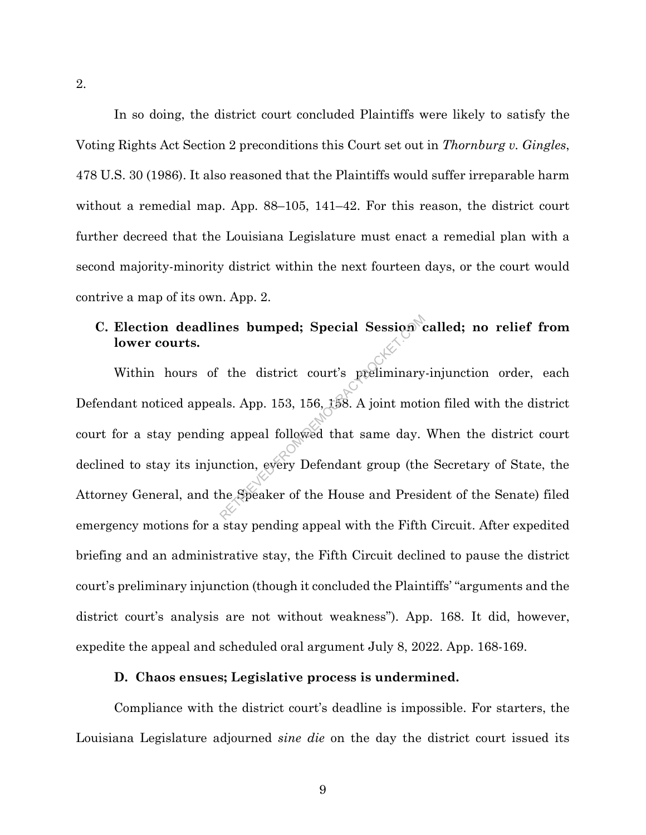In so doing, the district court concluded Plaintiffs were likely to satisfy the Voting Rights Act Section 2 preconditions this Court set out in *Thornburg v. Gingles*, 478 U.S. 30 (1986). It also reasoned that the Plaintiffs would suffer irreparable harm without a remedial map. App. 88–105, 141–42. For this reason, the district court further decreed that the Louisiana Legislature must enact a remedial plan with a second majority-minority district within the next fourteen days, or the court would contrive a map of its own. App. 2.

# **C. Election deadlines bumped; Special Session called; no relief from lower courts.**

Within hours of the district court's preliminary-injunction order, each Defendant noticed appeals. App. 153, 156, 158. A joint motion filed with the district court for a stay pending appeal followed that same day. When the district court declined to stay its injunction, every Defendant group (the Secretary of State, the Attorney General, and the Speaker of the House and President of the Senate) filed emergency motions for a stay pending appeal with the Fifth Circuit. After expedited briefing and an administrative stay, the Fifth Circuit declined to pause the district court's preliminary injunction (though it concluded the Plaintiffs' "arguments and the district court's analysis are not without weakness"). App. 168. It did, however, expedite the appeal and scheduled oral argument July 8, 2022. App. 168-169. The district court's preliminary<br>the district court's preliminary<br>als. App. 153, 156, 158. A joint motion<br>g appeal followed that same day.<br>nction, every Defendant group (the<br>he Speaker of the House and Presi

#### **D. Chaos ensues; Legislative process is undermined.**

Compliance with the district court's deadline is impossible. For starters, the Louisiana Legislature adjourned *sine die* on the day the district court issued its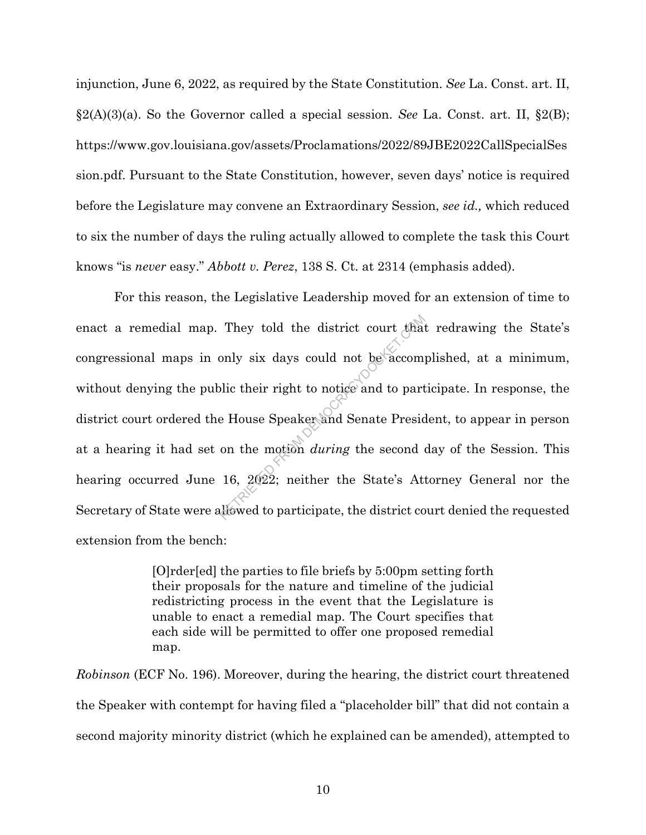injunction, June 6, 2022, as required by the State Constitution. *See* La. Const. art. II, §2(A)(3)(a). So the Governor called a special session. *See* La. Const. art. II, §2(B); https://www.gov.louisiana.gov/assets/Proclamations/2022/89JBE2022CallSpecialSes sion.pdf. Pursuant to the State Constitution, however, seven days' notice is required before the Legislature may convene an Extraordinary Session, *see id.,* which reduced to six the number of days the ruling actually allowed to complete the task this Court knows "is *never* easy." *Abbott v. Perez*, 138 S. Ct. at 2314 (emphasis added).

For this reason, the Legislative Leadership moved for an extension of time to enact a remedial map. They told the district court that redrawing the State's congressional maps in only six days could not be accomplished, at a minimum, without denying the public their right to notice and to participate. In response, the district court ordered the House Speaker and Senate President, to appear in person at a hearing it had set on the motion *during* the second day of the Session. This hearing occurred June 16, 2022; neither the State's Attorney General nor the Secretary of State were allowed to participate, the district court denied the requested extension from the bench: They told the district court that<br>only six days could not be accom-<br>lic their right to notice and to part<br>e House Speaker and Senate Presic<br>on the motion *during* the second<br>16, 2022; neither the State's At-<br>liowed to part

> [O]rder[ed] the parties to file briefs by 5:00pm setting forth their proposals for the nature and timeline of the judicial redistricting process in the event that the Legislature is unable to enact a remedial map. The Court specifies that each side will be permitted to offer one proposed remedial map.

*Robinson* (ECF No. 196). Moreover, during the hearing, the district court threatened the Speaker with contempt for having filed a "placeholder bill" that did not contain a second majority minority district (which he explained can be amended), attempted to

10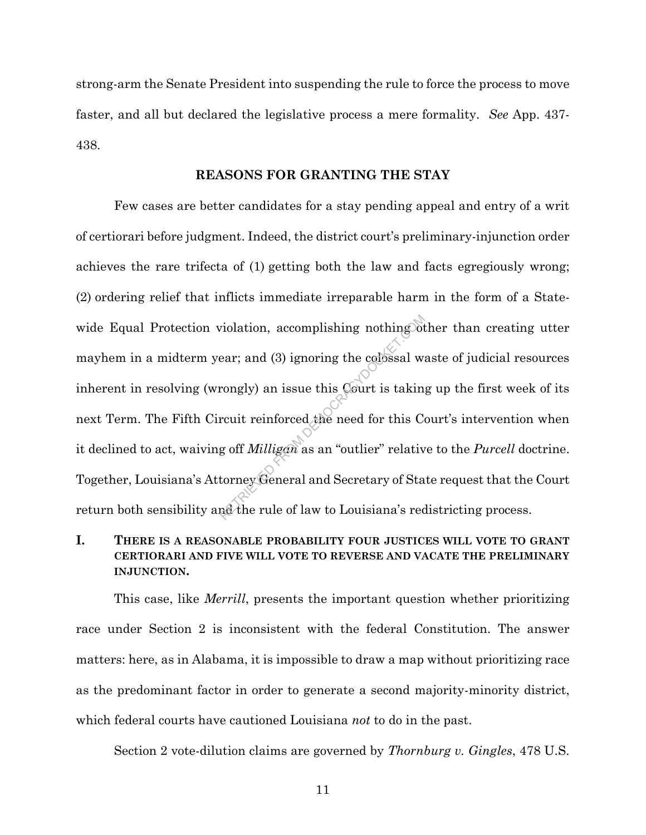strong-arm the Senate President into suspending the rule to force the process to move faster, and all but declared the legislative process a mere formality. *See* App. 437- 438.

#### **REASONS FOR GRANTING THE STAY**

Few cases are better candidates for a stay pending appeal and entry of a writ of certiorari before judgment. Indeed, the district court's preliminary-injunction order achieves the rare trifecta of (1) getting both the law and facts egregiously wrong; (2) ordering relief that inflicts immediate irreparable harm in the form of a Statewide Equal Protection violation, accomplishing nothing other than creating utter mayhem in a midterm year; and (3) ignoring the colossal waste of judicial resources inherent in resolving (wrongly) an issue this Court is taking up the first week of its next Term. The Fifth Circuit reinforced the need for this Court's intervention when it declined to act, waiving off *Milligan* as an "outlier" relative to the *Purcell* doctrine. Together, Louisiana's Attorney General and Secretary of State request that the Court return both sensibility and the rule of law to Louisiana's redistricting process. violation, accomplishing nothing of<br>ear; and (3) ignoring the colossal wise<br>rongly) an issue this Court is takin<br>rcuit reinforced the need for this Compared to the Reference of Sta<br>g off *Milligan* as an "outlier" relative

# **I. THERE IS A REASONABLE PROBABILITY FOUR JUSTICES WILL VOTE TO GRANT CERTIORARI AND FIVE WILL VOTE TO REVERSE AND VACATE THE PRELIMINARY INJUNCTION.**

This case, like *Merrill*, presents the important question whether prioritizing race under Section 2 is inconsistent with the federal Constitution. The answer matters: here, as in Alabama, it is impossible to draw a map without prioritizing race as the predominant factor in order to generate a second majority-minority district, which federal courts have cautioned Louisiana *not* to do in the past.

Section 2 vote-dilution claims are governed by *Thornburg v. Gingles*, 478 U.S.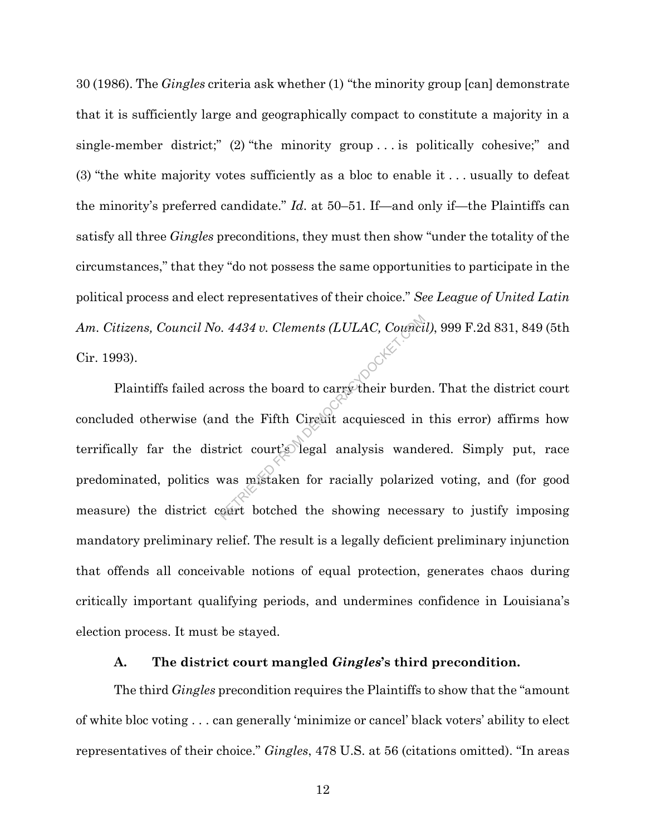30 (1986). The *Gingles* criteria ask whether (1) "the minority group [can] demonstrate that it is sufficiently large and geographically compact to constitute a majority in a single-member district;" (2) "the minority group . . . is politically cohesive;" and (3) "the white majority votes sufficiently as a bloc to enable it . . . usually to defeat the minority's preferred candidate." *Id*. at 50–51. If—and only if—the Plaintiffs can satisfy all three *Gingles* preconditions, they must then show "under the totality of the circumstances," that they "do not possess the same opportunities to participate in the political process and elect representatives of their choice." *See League of United Latin*  Cir. 1993).

*Am. Citizens, Council No. 4434 v. Clements (LULAC, Council)*, 999 F.2d 831, 849 (5th Cir. 1993).<br>
Plaintiffs failed across the board to carrge their burden. That the district court concluded otherwise (and the Fifth Cir Plaintiffs failed across the board to carry their burden. That the district court concluded otherwise (and the Fifth Circuit acquiesced in this error) affirms how terrifically far the district court's legal analysis wandered. Simply put, race predominated, politics was mistaken for racially polarized voting, and (for good measure) the district court botched the showing necessary to justify imposing mandatory preliminary relief. The result is a legally deficient preliminary injunction that offends all conceivable notions of equal protection, generates chaos during critically important qualifying periods, and undermines confidence in Louisiana's election process. It must be stayed.

#### **A. The district court mangled** *Gingles***'s third precondition.**

The third *Gingles* precondition requires the Plaintiffs to show that the "amount of white bloc voting . . . can generally 'minimize or cancel' black voters' ability to elect representatives of their choice." *Gingles*, 478 U.S. at 56 (citations omitted). "In areas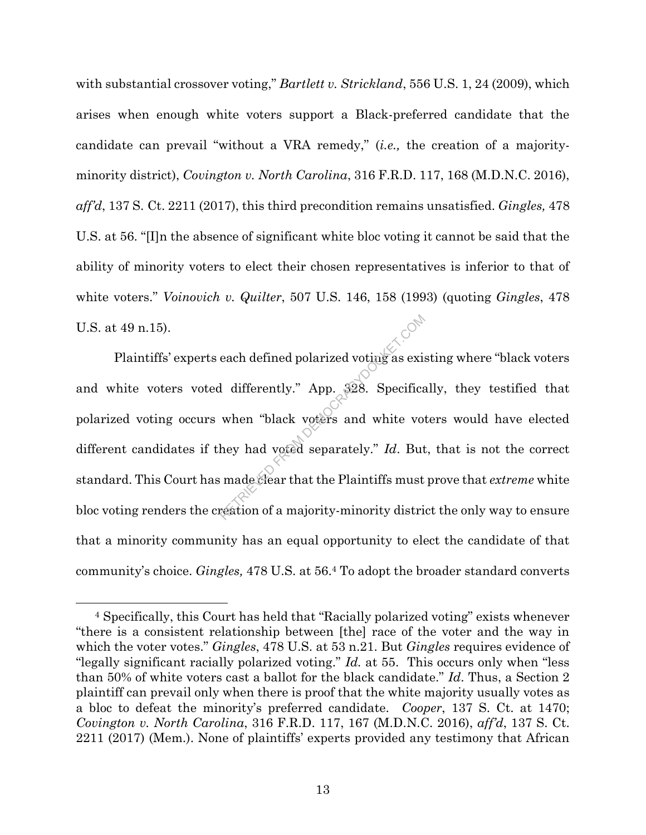with substantial crossover voting," *Bartlett v. Strickland*, 556 U.S. 1, 24 (2009), which arises when enough white voters support a Black-preferred candidate that the candidate can prevail "without a VRA remedy," (*i.e.,* the creation of a majorityminority district), *Covington v. North Carolina*, 316 F.R.D. 117, 168 (M.D.N.C. 2016), *aff'd*, 137 S. Ct. 2211 (2017), this third precondition remains unsatisfied. *Gingles,* 478 U.S. at 56. "[I]n the absence of significant white bloc voting it cannot be said that the ability of minority voters to elect their chosen representatives is inferior to that of white voters." *Voinovich v. Quilter*, 507 U.S. 146, 158 (1993) (quoting *Gingles*, 478 U.S. at 49 n.15).

Plaintiffs' experts each defined polarized voting as existing where "black voters and white voters voted differently." App. 328. Specifically, they testified that polarized voting occurs when "black voters and white voters would have elected different candidates if they had voted separately." *Id*. But, that is not the correct standard. This Court has made clear that the Plaintiffs must prove that *extreme* white bloc voting renders the creation of a majority-minority district the only way to ensure that a minority community has an equal opportunity to elect the candidate of that community's choice. *Gingles,* 478 U.S. at 56.<sup>4</sup> To adopt the broader standard converts each defined polarized voting as existed differently." App. 328. Specifical when "black voters and white voters" and white voters are when that voters are when  $\frac{1}{d}$ . But an analogue of a majority-minority distributed

<sup>4</sup> Specifically, this Court has held that "Racially polarized voting" exists whenever "there is a consistent relationship between [the] race of the voter and the way in which the voter votes." *Gingles*, 478 U.S. at 53 n.21. But *Gingles* requires evidence of "legally significant racially polarized voting." *Id.* at 55. This occurs only when "less than 50% of white voters cast a ballot for the black candidate." *Id*. Thus, a Section 2 plaintiff can prevail only when there is proof that the white majority usually votes as a bloc to defeat the minority's preferred candidate. *Cooper*, 137 S. Ct. at 1470; *Covington v. North Carolina*, 316 F.R.D. 117, 167 (M.D.N.C. 2016), *aff'd*, 137 S. Ct. 2211 (2017) (Mem.). None of plaintiffs' experts provided any testimony that African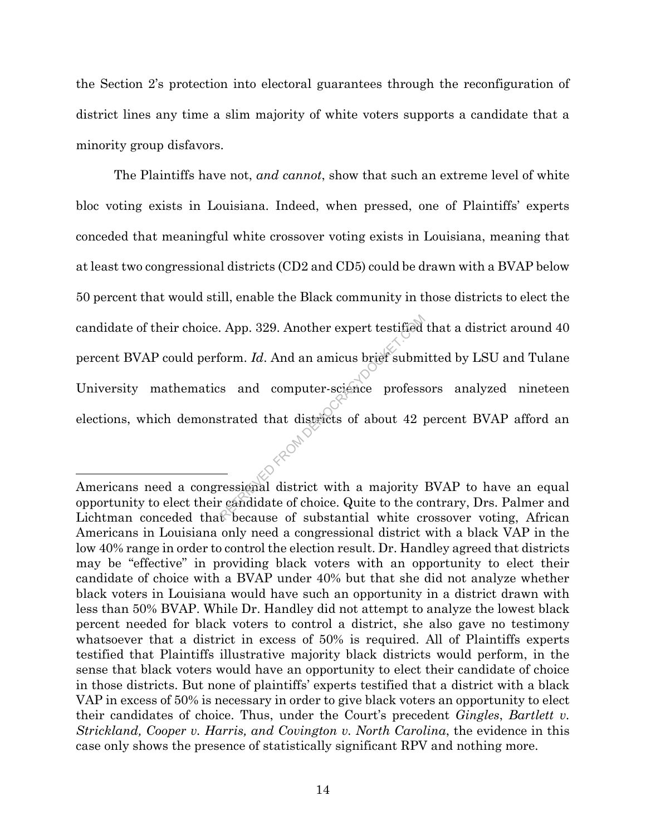the Section 2's protection into electoral guarantees through the reconfiguration of district lines any time a slim majority of white voters supports a candidate that a minority group disfavors.

The Plaintiffs have not, *and cannot*, show that such an extreme level of white bloc voting exists in Louisiana. Indeed, when pressed, one of Plaintiffs' experts conceded that meaningful white crossover voting exists in Louisiana, meaning that at least two congressional districts (CD2 and CD5) could be drawn with a BVAP below 50 percent that would still, enable the Black community in those districts to elect the candidate of their choice. App. 329. Another expert testified that a district around 40 percent BVAP could perform. *Id*. And an amicus brief submitted by LSU and Tulane University mathematics and computer-science professors analyzed nineteen elections, which demonstrated that districts of about 42 percent BVAP afford an  $\sim$ App. 329. Another expert testified<br>
form. Id. And an amicus brief submission and computer-science profess<br>
strated that districts of about 42 profess<br>
district with a majority<br>
ressional district with a majority<br>
ressiona

 $\overline{a}$ 

Americans need a congressional district with a majority BVAP to have an equal opportunity to elect their candidate of choice. Quite to the contrary, Drs. Palmer and Lichtman conceded that because of substantial white crossover voting, African Americans in Louisiana only need a congressional district with a black VAP in the low 40% range in order to control the election result. Dr. Handley agreed that districts may be "effective" in providing black voters with an opportunity to elect their candidate of choice with a BVAP under 40% but that she did not analyze whether black voters in Louisiana would have such an opportunity in a district drawn with less than 50% BVAP. While Dr. Handley did not attempt to analyze the lowest black percent needed for black voters to control a district, she also gave no testimony whatsoever that a district in excess of 50% is required. All of Plaintiffs experts testified that Plaintiffs illustrative majority black districts would perform, in the sense that black voters would have an opportunity to elect their candidate of choice in those districts. But none of plaintiffs' experts testified that a district with a black VAP in excess of 50% is necessary in order to give black voters an opportunity to elect their candidates of choice. Thus, under the Court's precedent *Gingles*, *Bartlett v. Strickland, Cooper v. Harris, and Covington v. North Carolina*, the evidence in this case only shows the presence of statistically significant RPV and nothing more.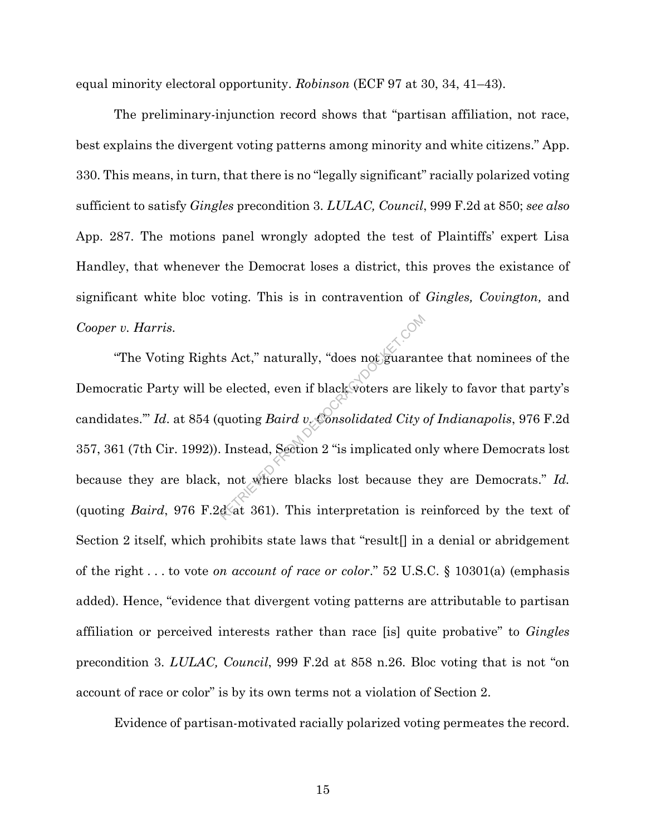equal minority electoral opportunity. *Robinson* (ECF 97 at 30, 34, 41–43).

The preliminary-injunction record shows that "partisan affiliation, not race, best explains the divergent voting patterns among minority and white citizens." App. 330. This means, in turn, that there is no "legally significant" racially polarized voting sufficient to satisfy *Gingles* precondition 3. *LULAC, Council*, 999 F.2d at 850; *see also*  App. 287. The motions panel wrongly adopted the test of Plaintiffs' expert Lisa Handley, that whenever the Democrat loses a district, this proves the existance of significant white bloc voting. This is in contravention of *Gingles, Covington,* and *Cooper v. Harris.*

"The Voting Rights Act," naturally, "does not guarantee that nominees of the Democratic Party will be elected, even if black voters are likely to favor that party's candidates.'" *Id*. at 854 (quoting *Baird v. Consolidated City of Indianapolis*, 976 F.2d 357, 361 (7th Cir. 1992)). Instead, Section 2 "is implicated only where Democrats lost because they are black, not where blacks lost because they are Democrats." *Id.* (quoting *Baird*, 976 F.2d at 361). This interpretation is reinforced by the text of Section 2 itself, which prohibits state laws that "result<sup>[]</sup> in a denial or abridgement of the right . . . to vote *on account of race or color*." 52 U.S.C. § 10301(a) (emphasis added). Hence, "evidence that divergent voting patterns are attributable to partisan affiliation or perceived interests rather than race [is] quite probative" to *Gingles* precondition 3. *LULAC, Council*, 999 F.2d at 858 n.26. Bloc voting that is not "on account of race or color" is by its own terms not a violation of Section 2. Exact," naturally, "does not guaranted elected, even if black voters are like<br>quoting *Baird* v. Consolidated City of all and  $\alpha$ . Instead, Section 2 "is implicated or not where blacks lost because the data 361). This in

Evidence of partisan-motivated racially polarized voting permeates the record.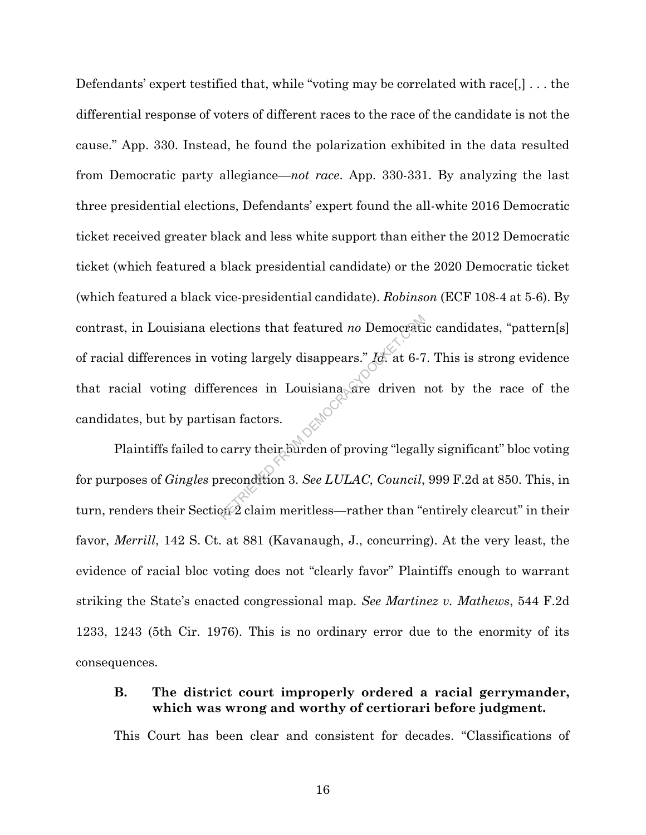Defendants' expert testified that, while "voting may be correlated with race[,] . . . the differential response of voters of different races to the race of the candidate is not the cause." App. 330. Instead, he found the polarization exhibited in the data resulted from Democratic party allegiance—*not race*. App. 330-331. By analyzing the last three presidential elections, Defendants' expert found the all-white 2016 Democratic ticket received greater black and less white support than either the 2012 Democratic ticket (which featured a black presidential candidate) or the 2020 Democratic ticket (which featured a black vice-presidential candidate). *Robinson* (ECF 108-4 at 5-6). By contrast, in Louisiana elections that featured *no* Democratic candidates, "pattern[s] of racial differences in voting largely disappears." *Id.* at 6-7. This is strong evidence that racial voting differences in Louisiana are driven not by the race of the candidates, but by partisan factors. ections that featured *no* Democration<br>oting largely disappears." Id. at 6-7<br>rences in Louisiana are driven<br>san factors.<br>carry their burden of proving "legall<br>recondition 3. See LULAC, Council,<br> $2\pi$  2 claim meritless—rath

Plaintiffs failed to carry their burden of proving "legally significant" bloc voting for purposes of *Gingles* precondition 3. *See LULAC, Council*, 999 F.2d at 850. This, in turn, renders their Section 2 claim meritless—rather than "entirely clearcut" in their favor, *Merrill*, 142 S. Ct. at 881 (Kavanaugh, J., concurring). At the very least, the evidence of racial bloc voting does not "clearly favor" Plaintiffs enough to warrant striking the State's enacted congressional map. *See Martinez v. Mathews*, 544 F.2d 1233, 1243 (5th Cir. 1976). This is no ordinary error due to the enormity of its consequences.

## **B. The district court improperly ordered a racial gerrymander, which was wrong and worthy of certiorari before judgment.**

This Court has been clear and consistent for decades. "Classifications of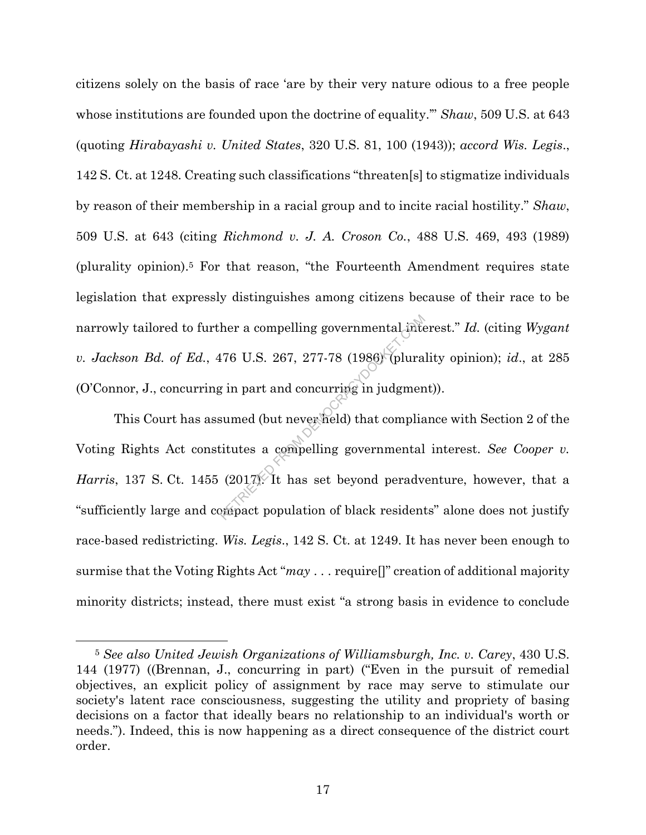citizens solely on the basis of race 'are by their very nature odious to a free people whose institutions are founded upon the doctrine of equality.'" *Shaw*, 509 U.S. at 643 (quoting *Hirabayashi v. United States*, 320 U.S. 81, 100 (1943)); *accord Wis. Legis*., 142 S. Ct. at 1248. Creating such classifications "threaten[s] to stigmatize individuals by reason of their membership in a racial group and to incite racial hostility." *Shaw*, 509 U.S. at 643 (citing *Richmond v. J. A. Croson Co.*, 488 U.S. 469, 493 (1989) (plurality opinion).<sup>5</sup> For that reason, "the Fourteenth Amendment requires state legislation that expressly distinguishes among citizens because of their race to be narrowly tailored to further a compelling governmental interest." *Id.* (citing *Wygant v. Jackson Bd. of Ed.*, 476 U.S. 267, 277-78 (1986) (plurality opinion); *id*., at 285 (O'Connor, J., concurring in part and concurring in judgment)).

This Court has assumed (but never held) that compliance with Section 2 of the Voting Rights Act constitutes a compelling governmental interest. *See Cooper v. Harris*, 137 S. Ct. 1455 (2017). It has set beyond peradventure, however, that a "sufficiently large and compact population of black residents" alone does not justify race-based redistricting. *Wis. Legis*., 142 S. Ct. at 1249. It has never been enough to surmise that the Voting Rights Act "*may* . . . require[]" creation of additional majority minority districts; instead, there must exist "a strong basis in evidence to conclude her a compelling governmental interest.<br>
176 U.S. 267, 277-78 (1986) (plura<br>
g in part and concurring in judgmen<br>
sumed (but never held) that complia<br>
itutes a compelling governmental<br>
(2017). It has set beyond perady<br>
pro

l

<sup>5</sup> *See also United Jewish Organizations of Williamsburgh, Inc. v. Carey*, 430 U.S. 144 (1977) ((Brennan, J., concurring in part) ("Even in the pursuit of remedial objectives, an explicit policy of assignment by race may serve to stimulate our society's latent race consciousness, suggesting the utility and propriety of basing decisions on a factor that ideally bears no relationship to an individual's worth or needs."). Indeed, this is now happening as a direct consequence of the district court order.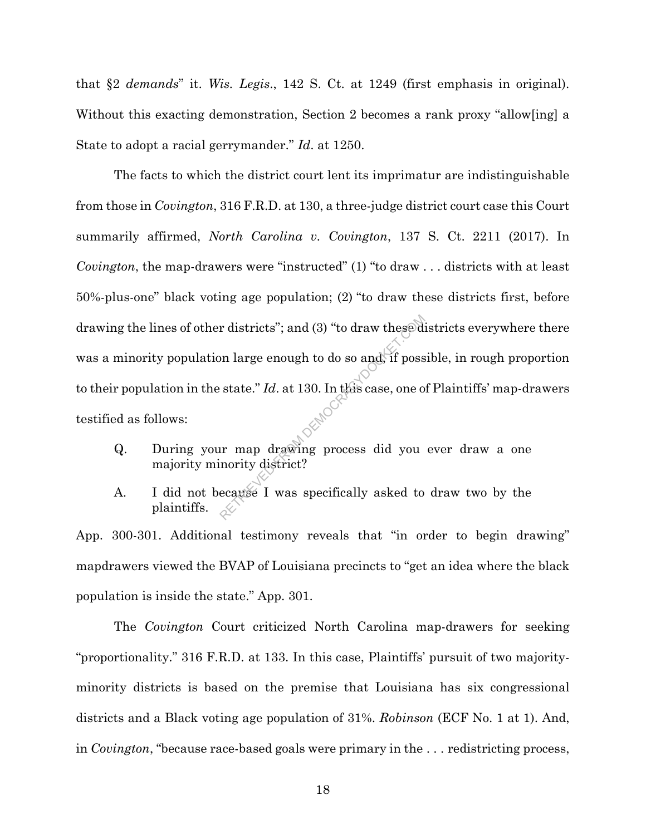that §2 *demands*" it. *Wis. Legis*., 142 S. Ct. at 1249 (first emphasis in original). Without this exacting demonstration, Section 2 becomes a rank proxy "allow[ing] a State to adopt a racial gerrymander." *Id*. at 1250.

The facts to which the district court lent its imprimatur are indistinguishable from those in *Covington*, 316 F.R.D. at 130, a three-judge district court case this Court summarily affirmed, *North Carolina v. Covington*, 137 S. Ct. 2211 (2017). In *Covington*, the map-drawers were "instructed" (1) "to draw . . . districts with at least 50%-plus-one" black voting age population; (2) "to draw these districts first, before drawing the lines of other districts"; and (3) "to draw these districts everywhere there was a minority population large enough to do so and, if possible, in rough proportion to their population in the state." *Id*. at 130. In this case, one of Plaintiffs' map-drawers testified as follows: r districts"; and (3) "to draw these diventives" on large enough to do so and if possess is tate." Id. at 130. In this case, one of the state." Id. at 130. In this case, one of the state." Id. at 130. In this case, one of

- Q. During your map drawing process did you ever draw a one majority minority district?
- A. I did not because I was specifically asked to draw two by the plaintiffs.

App. 300-301. Additional testimony reveals that "in order to begin drawing" mapdrawers viewed the BVAP of Louisiana precincts to "get an idea where the black population is inside the state." App. 301.

The *Covington* Court criticized North Carolina map-drawers for seeking "proportionality." 316 F.R.D. at 133. In this case, Plaintiffs' pursuit of two majorityminority districts is based on the premise that Louisiana has six congressional districts and a Black voting age population of 31%. *Robinson* (ECF No. 1 at 1). And, in *Covington*, "because race-based goals were primary in the . . . redistricting process,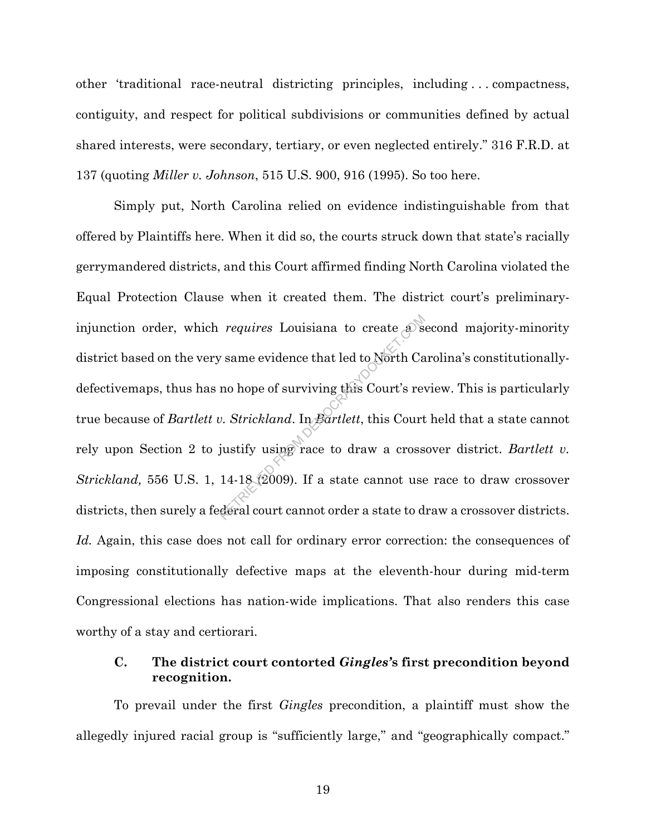other 'traditional race-neutral districting principles, including . . . compactness, contiguity, and respect for political subdivisions or communities defined by actual shared interests, were secondary, tertiary, or even neglected entirely." 316 F.R.D. at 137 (quoting *Miller v. Johnson*, 515 U.S. 900, 916 (1995). So too here.

Simply put, North Carolina relied on evidence indistinguishable from that offered by Plaintiffs here. When it did so, the courts struck down that state's racially gerrymandered districts, and this Court affirmed finding North Carolina violated the Equal Protection Clause when it created them. The district court's preliminaryinjunction order, which *requires* Louisiana to create a second majority-minority district based on the very same evidence that led to North Carolina's constitutionallydefectivemaps, thus has no hope of surviving this Court's review. This is particularly true because of *Bartlett v. Strickland*. In *Bartlett*, this Court held that a state cannot rely upon Section 2 to justify using race to draw a crossover district. *Bartlett v. Strickland,* 556 U.S. 1, 14-18 (2009). If a state cannot use race to draw crossover districts, then surely a federal court cannot order a state to draw a crossover districts. *Id.* Again, this case does not call for ordinary error correction: the consequences of imposing constitutionally defective maps at the eleventh-hour during mid-term Congressional elections has nation-wide implications. That also renders this case worthy of a stay and certiorari. requires Louisiana to create and<br>
reame evidence that led to North Ca<br>
no hope of surviving this Court's re<br>
ev. Strickland. In Bartlett, this Court<br>
justify using race to draw a cross<br>
14-18 (2009). If a state cannot use<br>

## **C. The district court contorted** *Gingles'***s first precondition beyond recognition.**

To prevail under the first *Gingles* precondition, a plaintiff must show the allegedly injured racial group is "sufficiently large," and "geographically compact."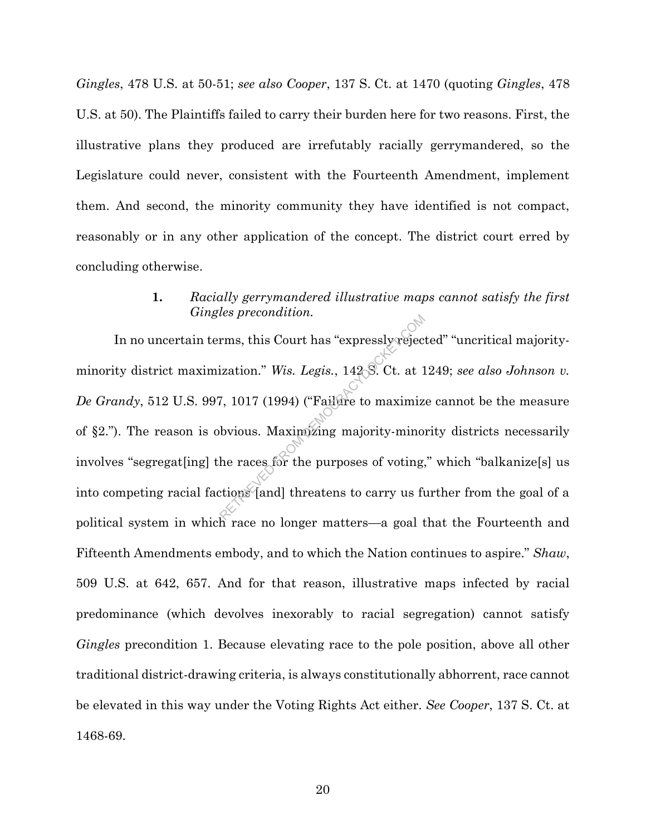*Gingles*, 478 U.S. at 50-51; *see also Cooper*, 137 S. Ct. at 1470 (quoting *Gingles*, 478 U.S. at 50). The Plaintiffs failed to carry their burden here for two reasons. First, the illustrative plans they produced are irrefutably racially gerrymandered, so the Legislature could never, consistent with the Fourteenth Amendment, implement them. And second, the minority community they have identified is not compact, reasonably or in any other application of the concept. The district court erred by concluding otherwise.

## **1.** *Racially gerrymandered illustrative maps cannot satisfy the first Gingles precondition.*

In no uncertain terms, this Court has "expressly rejected" "uncritical majorityminority district maximization." *Wis. Legis.*, 142 S. Ct. at 1249; *see also Johnson v. De Grandy*, 512 U.S. 997, 1017 (1994) ("Failure to maximize cannot be the measure of §2."). The reason is obvious. Maximizing majority-minority districts necessarily involves "segregat[ing] the races for the purposes of voting," which "balkanize[s] us into competing racial factions [and] threatens to carry us further from the goal of a political system in which race no longer matters—a goal that the Fourteenth and Fifteenth Amendments embody, and to which the Nation continues to aspire." *Shaw*, 509 U.S. at 642, 657. And for that reason, illustrative maps infected by racial predominance (which devolves inexorably to racial segregation) cannot satisfy *Gingles* precondition 1. Because elevating race to the pole position, above all other traditional district-drawing criteria, is always constitutionally abhorrent, race cannot be elevated in this way under the Voting Rights Act either. *See Cooper*, 137 S. Ct. at 1468-69. RES *Diechallton.*<br>Trues, this Court has "expressly rejection." Wis. Legis., 142.8. Ct. at 1<br>7, 1017 (1994) ("Failure to maximize<br>by by the maximizing majority-minor<br>the races for the purposes of voting,<br>tions [and] threat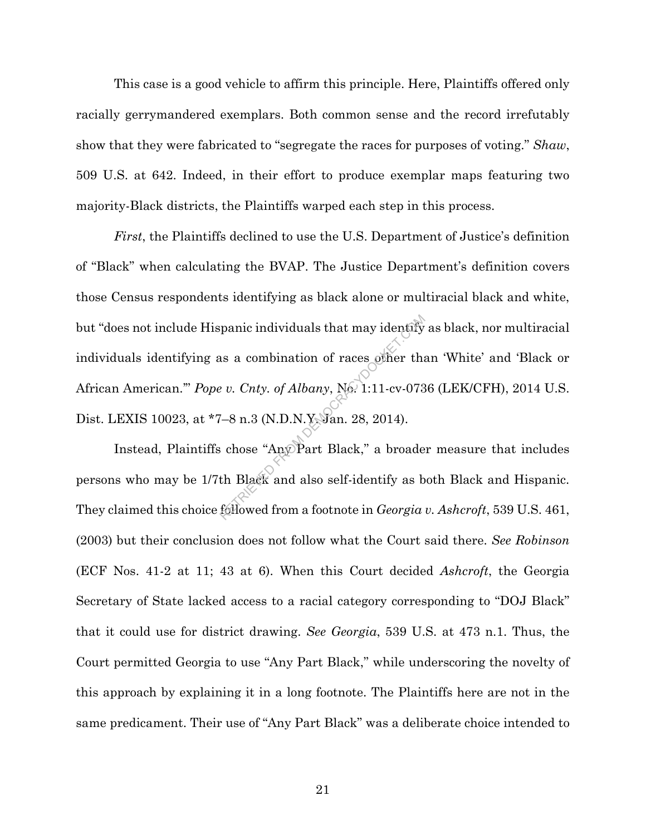This case is a good vehicle to affirm this principle. Here, Plaintiffs offered only racially gerrymandered exemplars. Both common sense and the record irrefutably show that they were fabricated to "segregate the races for purposes of voting." *Shaw*, 509 U.S. at 642. Indeed, in their effort to produce exemplar maps featuring two majority-Black districts, the Plaintiffs warped each step in this process.

*First*, the Plaintiffs declined to use the U.S. Department of Justice's definition of "Black" when calculating the BVAP. The Justice Department's definition covers those Census respondents identifying as black alone or multiracial black and white, but "does not include Hispanic individuals that may identify as black, nor multiracial individuals identifying as a combination of races other than 'White' and 'Black or African American.'" *Pope v. Cnty. of Albany*, No. 1:11-cv-0736 (LEK/CFH), 2014 U.S. Dist. LEXIS 10023, at \*7–8 n.3 (N.D.N.Y. Jan. 28, 2014). manic individuals that may identify<br>as a combination of races other that<br> $v$ . Cnty. of Albany, No. 1:11-cv-073<br>7-8 n.3 (N.D.N.Y. Jan. 28, 2014).<br>chose "Any Part Black," a broade<br>th Black and also self-identify as b<br>follow

Instead, Plaintiffs chose "Any Part Black," a broader measure that includes persons who may be 1/7th Black and also self-identify as both Black and Hispanic. They claimed this choice followed from a footnote in *Georgia v. Ashcroft*, 539 U.S. 461, (2003) but their conclusion does not follow what the Court said there. *See Robinson* (ECF Nos. 41-2 at 11; 43 at 6). When this Court decided *Ashcroft*, the Georgia Secretary of State lacked access to a racial category corresponding to "DOJ Black" that it could use for district drawing. *See Georgia*, 539 U.S. at 473 n.1. Thus, the Court permitted Georgia to use "Any Part Black," while underscoring the novelty of this approach by explaining it in a long footnote. The Plaintiffs here are not in the same predicament. Their use of "Any Part Black" was a deliberate choice intended to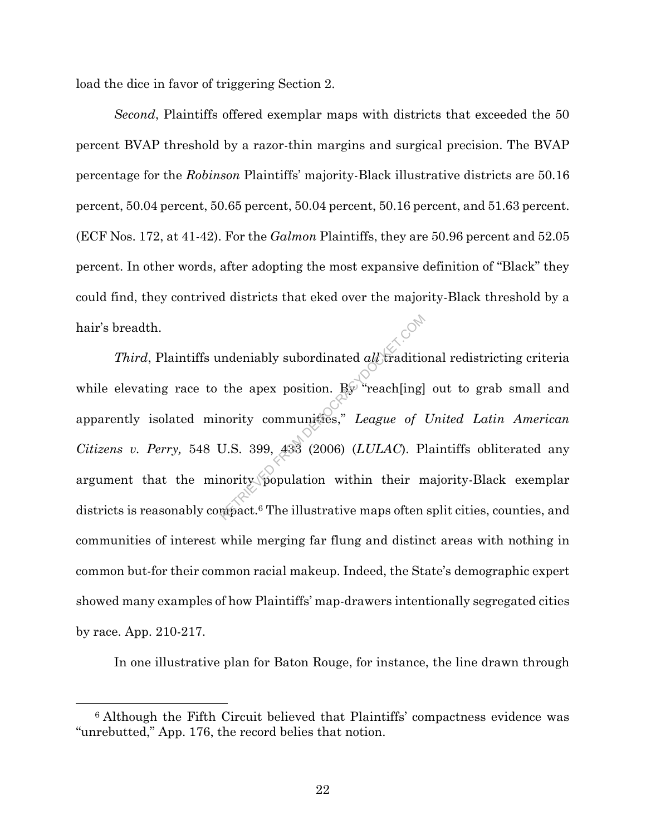load the dice in favor of triggering Section 2.

*Second*, Plaintiffs offered exemplar maps with districts that exceeded the 50 percent BVAP threshold by a razor-thin margins and surgical precision. The BVAP percentage for the *Robinson* Plaintiffs' majority-Black illustrative districts are 50.16 percent, 50.04 percent, 50.65 percent, 50.04 percent, 50.16 percent, and 51.63 percent. (ECF Nos. 172, at 41-42). For the *Galmon* Plaintiffs, they are 50.96 percent and 52.05 percent. In other words, after adopting the most expansive definition of "Black" they could find, they contrived districts that eked over the majority-Black threshold by a hair's breadth.

*Third*, Plaintiffs undeniably subordinated *all* traditional redistricting criteria while elevating race to the apex position.  $\mathbb{R} \mathbb{F}^n$  reach[ing] out to grab small and apparently isolated minority communities," *League of United Latin American Citizens v. Perry,* 548 U.S. 399, 433 (2006) (*LULAC*). Plaintiffs obliterated any argument that the minority population within their majority-Black exemplar districts is reasonably compact.<sup>6</sup> The illustrative maps often split cities, counties, and communities of interest while merging far flung and distinct areas with nothing in common but-for their common racial makeup. Indeed, the State's demographic expert showed many examples of how Plaintiffs' map-drawers intentionally segregated cities by race. App. 210-217. mdeniably subordinated *all* tradition<br>the apex position. By "reach[ing]<br>nority communities," *League of*<br>U.S. 399, 433 (2006) (*LULAC*). Provides and their moving population within their more<br>moving to The illustrative m

In one illustrative plan for Baton Rouge, for instance, the line drawn through

l

<sup>6</sup> Although the Fifth Circuit believed that Plaintiffs' compactness evidence was "unrebutted," App. 176, the record belies that notion.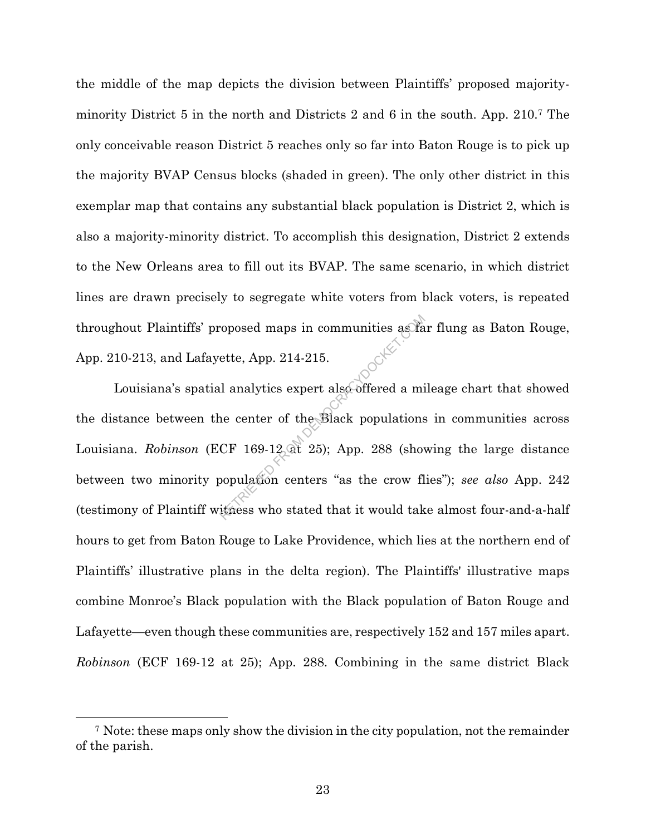the middle of the map depicts the division between Plaintiffs' proposed majorityminority District 5 in the north and Districts 2 and 6 in the south. App. 210.<sup>7</sup> The only conceivable reason District 5 reaches only so far into Baton Rouge is to pick up the majority BVAP Census blocks (shaded in green). The only other district in this exemplar map that contains any substantial black population is District 2, which is also a majority-minority district. To accomplish this designation, District 2 extends to the New Orleans area to fill out its BVAP. The same scenario, in which district lines are drawn precisely to segregate white voters from black voters, is repeated throughout Plaintiffs' proposed maps in communities as far flung as Baton Rouge, App. 210-213, and Lafayette, App. 214-215.

Louisiana's spatial analytics expert also offered a mileage chart that showed the distance between the center of the Black populations in communities across Louisiana. *Robinson* (ECF 169-12 at 25); App. 288 (showing the large distance between two minority population centers "as the crow flies"); *see also* App. 242 (testimony of Plaintiff witness who stated that it would take almost four-and-a-half hours to get from Baton Rouge to Lake Providence, which lies at the northern end of Plaintiffs' illustrative plans in the delta region). The Plaintiffs' illustrative maps combine Monroe's Black population with the Black population of Baton Rouge and Lafayette—even though these communities are, respectively 152 and 157 miles apart. *Robinson* (ECF 169-12 at 25); App. 288. Combining in the same district Black represent also offered a minimized state. App. 214-215.<br>
Il analytics expert also offered a minimized a minimized and the Black populations<br>
CF 169-12 at 25); App. 288 (show<br>
population centers "as the crow fluences who st

<sup>7</sup> Note: these maps only show the division in the city population, not the remainder of the parish.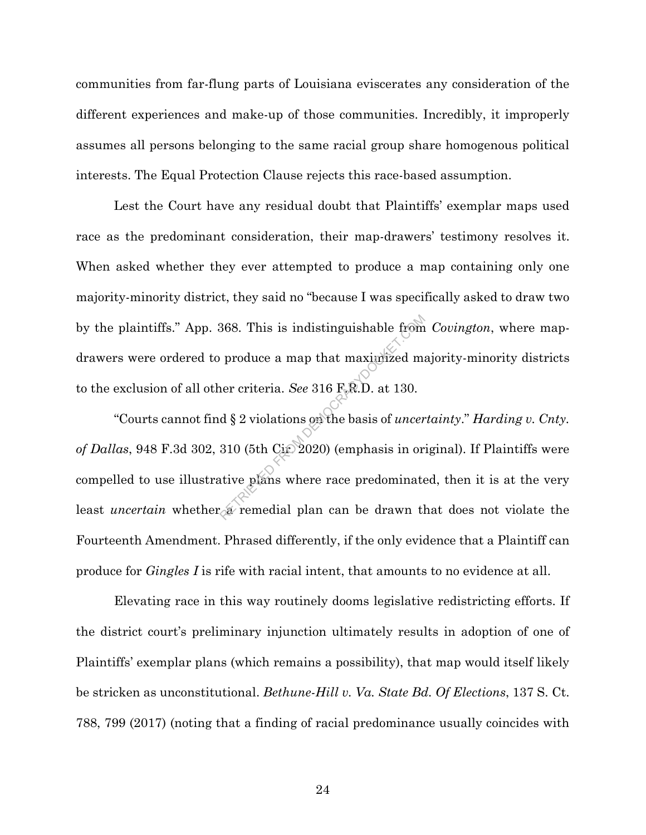communities from far-flung parts of Louisiana eviscerates any consideration of the different experiences and make-up of those communities. Incredibly, it improperly assumes all persons belonging to the same racial group share homogenous political interests. The Equal Protection Clause rejects this race-based assumption.

Lest the Court have any residual doubt that Plaintiffs' exemplar maps used race as the predominant consideration, their map-drawers' testimony resolves it. When asked whether they ever attempted to produce a map containing only one majority-minority district, they said no "because I was specifically asked to draw two by the plaintiffs." App. 368. This is indistinguishable from *Covington*, where mapdrawers were ordered to produce a map that maximized majority-minority districts to the exclusion of all other criteria. *See* 316 F.R.D. at 130.

"Courts cannot find § 2 violations on the basis of *uncertainty*." *Harding v. Cnty.*  of Dallas, 948 F.3d 302, 310 (5th Cir. 2020) (emphasis in original). If Plaintiffs were compelled to use illustrative plans where race predominated, then it is at the very least *uncertain* whether a remedial plan can be drawn that does not violate the Fourteenth Amendment. Phrased differently, if the only evidence that a Plaintiff can produce for *Gingles I* is rife with racial intent, that amounts to no evidence at all. 368. This is indistinguishable from<br>produce a map that maximized m:<br>her criteria. See 316 F.R.D. at 130.<br>d § 2 violations on the basis of *uncer*<br>310 (5th Cite 2020) (emphasis in or<br>ative plans where race predominate<br>are

Elevating race in this way routinely dooms legislative redistricting efforts. If the district court's preliminary injunction ultimately results in adoption of one of Plaintiffs' exemplar plans (which remains a possibility), that map would itself likely be stricken as unconstitutional. *Bethune-Hill v. Va. State Bd. Of Elections*, 137 S. Ct. 788, 799 (2017) (noting that a finding of racial predominance usually coincides with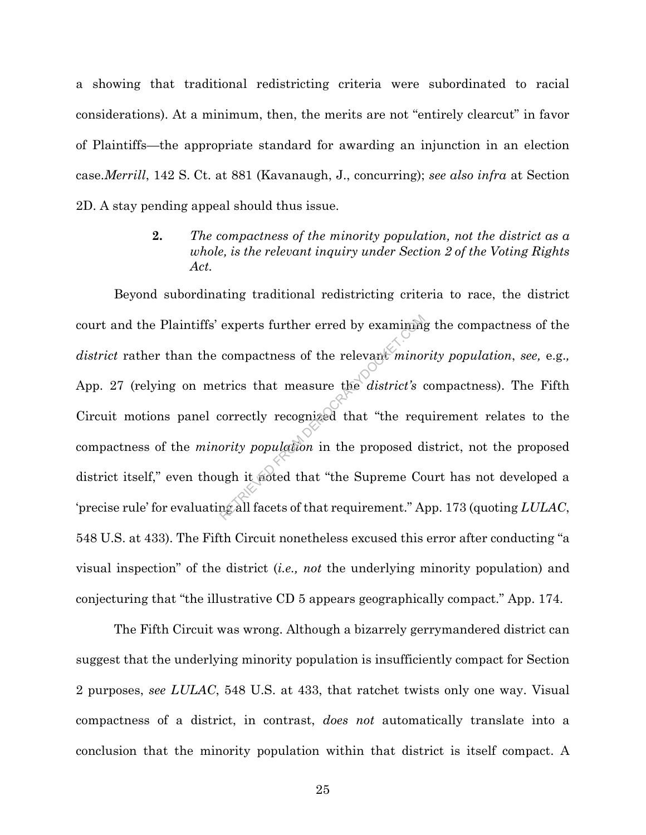a showing that traditional redistricting criteria were subordinated to racial considerations). At a minimum, then, the merits are not "entirely clearcut" in favor of Plaintiffs—the appropriate standard for awarding an injunction in an election case.*Merrill*, 142 S. Ct. at 881 (Kavanaugh, J., concurring); *see also infra* at Section 2D. A stay pending appeal should thus issue.

> **2.** *The compactness of the minority population, not the district as a whole, is the relevant inquiry under Section 2 of the Voting Rights Act.*

Beyond subordinating traditional redistricting criteria to race, the district court and the Plaintiffs' experts further erred by examining the compactness of the *district* rather than the compactness of the relevant *minority population, see, e.g.,* App. 27 (relying on metrics that measure the *district's* compactness). The Fifth Circuit motions panel correctly recognized that "the requirement relates to the compactness of the *minority population* in the proposed district, not the proposed district itself," even though it noted that "the Supreme Court has not developed a 'precise rule' for evaluating all facets of that requirement." App. 173 (quoting *LULAC*, 548 U.S. at 433). The Fifth Circuit nonetheless excused this error after conducting "a visual inspection" of the district (*i.e., not* the underlying minority population) and conjecturing that "the illustrative CD 5 appears geographically compact." App. 174. experts further erred by examining<br>compactness of the relevant *minoi*<br>trics that measure the *district's* correctly recognized that "the req<br>ority population in the proposed d<br>ugh it noted that "the Supreme Congall facets

The Fifth Circuit was wrong. Although a bizarrely gerrymandered district can suggest that the underlying minority population is insufficiently compact for Section 2 purposes, *see LULAC*, 548 U.S. at 433, that ratchet twists only one way. Visual compactness of a district, in contrast, *does not* automatically translate into a conclusion that the minority population within that district is itself compact. A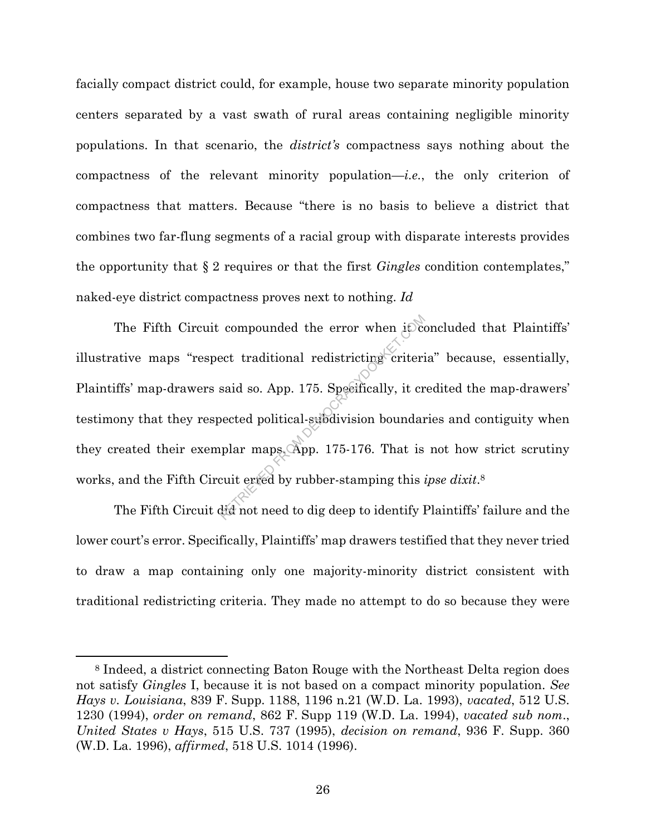facially compact district could, for example, house two separate minority population centers separated by a vast swath of rural areas containing negligible minority populations. In that scenario, the *district's* compactness says nothing about the compactness of the relevant minority population—*i.e.*, the only criterion of compactness that matters. Because "there is no basis to believe a district that combines two far-flung segments of a racial group with disparate interests provides the opportunity that § 2 requires or that the first *Gingles* condition contemplates," naked-eye district compactness proves next to nothing. *Id*

The Fifth Circuit compounded the error when it concluded that Plaintiffs' illustrative maps "respect traditional redistricting criteria" because, essentially, Plaintiffs' map-drawers said so. App. 175. Specifically, it credited the map-drawers' testimony that they respected political-subdivision boundaries and contiguity when they created their exemplar maps. App. 175-176. That is not how strict scrutiny works, and the Fifth Circuit erred by rubber-stamping this *ipse dixit*. 8 compounded the error when it is<br>ect traditional redistricting criteri<br>said so. App. 175. Specifically, it cr<br>bected political-subdivision boundar<br>uplar maps. App. 175-176. That is<br>cuit erred by rubber-stamping this

The Fifth Circuit did not need to dig deep to identify Plaintiffs' failure and the lower court's error. Specifically, Plaintiffs' map drawers testified that they never tried to draw a map containing only one majority-minority district consistent with traditional redistricting criteria. They made no attempt to do so because they were

<sup>8</sup> Indeed, a district connecting Baton Rouge with the Northeast Delta region does not satisfy *Gingles* I, because it is not based on a compact minority population. *See Hays v. Louisiana*, 839 F. Supp. 1188, 1196 n.21 (W.D. La. 1993), *vacated*, 512 U.S. 1230 (1994), *order on remand*, 862 F. Supp 119 (W.D. La. 1994), *vacated sub nom*., *United States v Hays*, 515 U.S. 737 (1995), *decision on remand*, 936 F. Supp. 360 (W.D. La. 1996), *affirmed*, 518 U.S. 1014 (1996).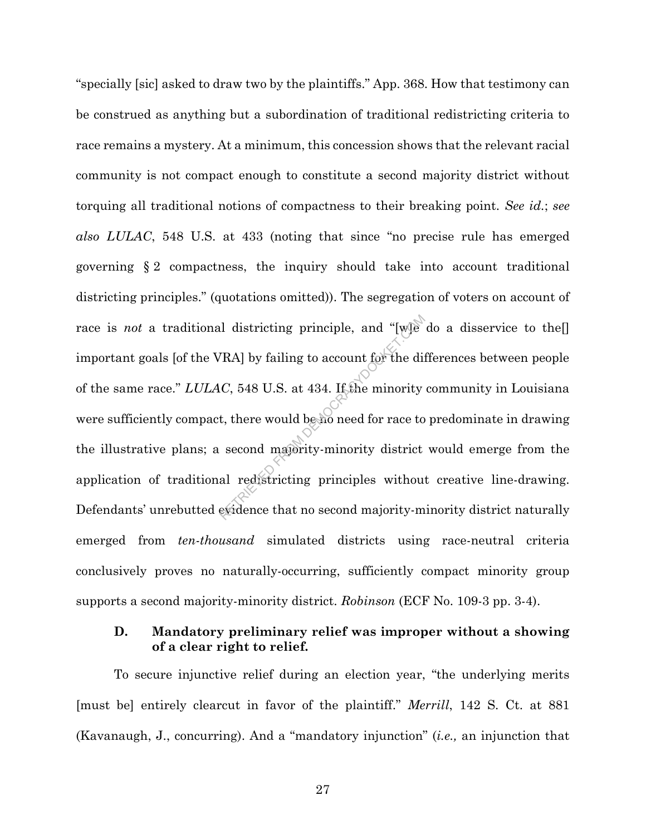"specially [sic] asked to draw two by the plaintiffs." App. 368. How that testimony can be construed as anything but a subordination of traditional redistricting criteria to race remains a mystery. At a minimum, this concession shows that the relevant racial community is not compact enough to constitute a second majority district without torquing all traditional notions of compactness to their breaking point. *See id.*; *see also LULAC*, 548 U.S. at 433 (noting that since "no precise rule has emerged governing § 2 compactness, the inquiry should take into account traditional districting principles." (quotations omitted)). The segregation of voters on account of race is *not* a traditional districting principle, and "[w]e do a disservice to the[] important goals [of the VRA] by failing to account for the differences between people of the same race." *LULAC*, 548 U.S. at 434. If the minority community in Louisiana were sufficiently compact, there would be no need for race to predominate in drawing the illustrative plans; a second majority-minority district would emerge from the application of traditional redistricting principles without creative line-drawing. Defendants' unrebutted evidence that no second majority-minority district naturally emerged from *ten-thousand* simulated districts using race-neutral criteria conclusively proves no naturally-occurring, sufficiently compact minority group supports a second majority-minority district. *Robinson* (ECF No. 109-3 pp. 3-4). Il districting principle, and "[w] $\epsilon$ <br>
(RA] by failing to account for the different of the different of the Minority<br>
1. there would be no need for race to<br>
second majority-minority district<br>
al redistricting principles

#### **D. Mandatory preliminary relief was improper without a showing of a clear right to relief.**

To secure injunctive relief during an election year, "the underlying merits [must be] entirely clearcut in favor of the plaintiff." *Merrill*, 142 S. Ct. at 881 (Kavanaugh, J., concurring). And a "mandatory injunction" (*i.e.,* an injunction that

27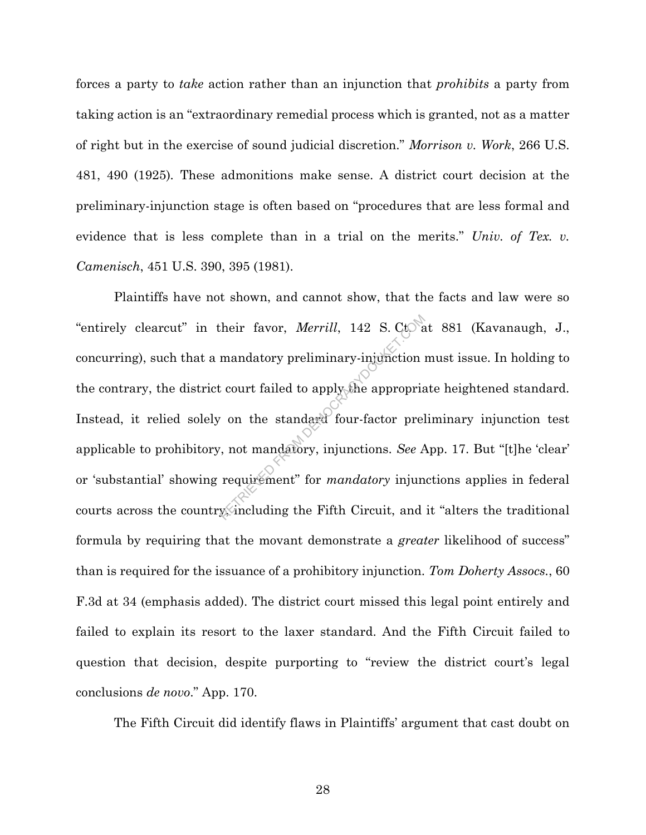forces a party to *take* action rather than an injunction that *prohibits* a party from taking action is an "extraordinary remedial process which is granted, not as a matter of right but in the exercise of sound judicial discretion." *Morrison v. Work*, 266 U.S. 481, 490 (1925)*.* These admonitions make sense. A district court decision at the preliminary-injunction stage is often based on "procedures that are less formal and evidence that is less complete than in a trial on the merits." *Univ. of Tex. v. Camenisch*, 451 U.S. 390, 395 (1981).

Plaintiffs have not shown, and cannot show, that the facts and law were so "entirely clearcut" in their favor, *Merrill*, 142 S. Ct. at 881 (Kavanaugh, J., concurring), such that a mandatory preliminary-injunction must issue. In holding to the contrary, the district court failed to apply the appr concurring), such that a mandatory preliminary-injunction must issue. In holding to the contrary, the district court failed to apply the appropriate heightened standard. Instead, it relied solely on the standard four-factor preliminary injunction test applicable to prohibitory, not mandatory, injunctions. *See* App. 17. But "[t]he 'clear' or 'substantial' showing requirement" for *mandatory* injunctions applies in federal courts across the country, including the Fifth Circuit, and it "alters the traditional formula by requiring that the movant demonstrate a *greater* likelihood of success" than is required for the issuance of a prohibitory injunction. *Tom Doherty Assocs.*, 60 F.3d at 34 (emphasis added). The district court missed this legal point entirely and failed to explain its resort to the laxer standard. And the Fifth Circuit failed to question that decision, despite purporting to "review the district court's legal conclusions *de novo*." App. 170.

The Fifth Circuit did identify flaws in Plaintiffs' argument that cast doubt on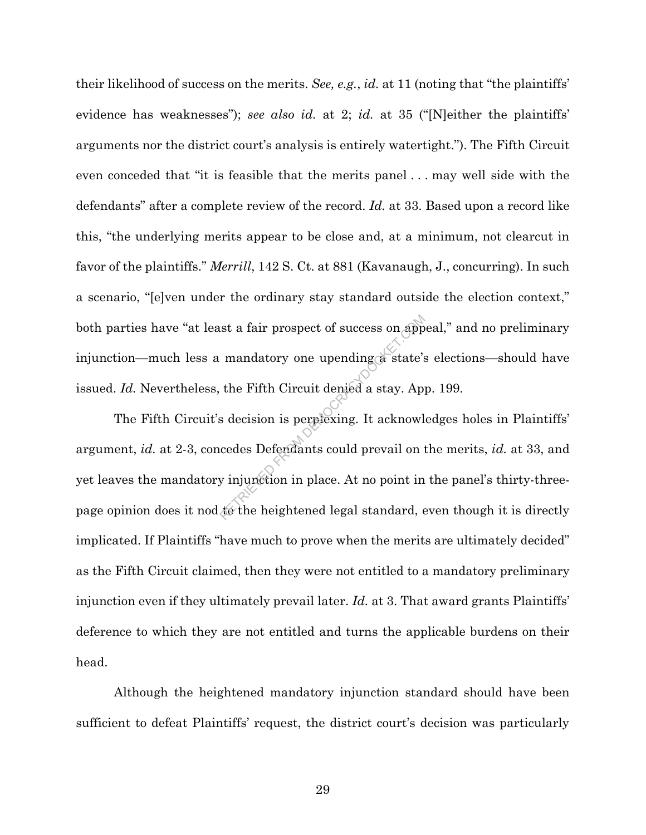their likelihood of success on the merits. *See, e.g.*, *id.* at 11 (noting that "the plaintiffs' evidence has weaknesses"); *see also id.* at 2; *id.* at 35 ("[N]either the plaintiffs' arguments nor the district court's analysis is entirely watertight."). The Fifth Circuit even conceded that "it is feasible that the merits panel . . . may well side with the defendants" after a complete review of the record. *Id.* at 33. Based upon a record like this, "the underlying merits appear to be close and, at a minimum, not clearcut in favor of the plaintiffs." *Merrill*, 142 S. Ct. at 881 (Kavanaugh, J., concurring). In such a scenario, "[e]ven under the ordinary stay standard outside the election context," both parties have "at least a fair prospect of success on appeal," and no preliminary injunction—much less a mandatory one upending a state's elections—should have issued. *Id.* Nevertheless, the Fifth Circuit denied a stay. App. 199.

The Fifth Circuit's decision is perplexing. It acknowledges holes in Plaintiffs' argument, *id.* at 2-3, concedes Defendants could prevail on the merits, *id.* at 33, and yet leaves the mandatory injunction in place. At no point in the panel's thirty-threepage opinion does it nod to the heightened legal standard, even though it is directly implicated. If Plaintiffs "have much to prove when the merits are ultimately decided" as the Fifth Circuit claimed, then they were not entitled to a mandatory preliminary injunction even if they ultimately prevail later. *Id.* at 3. That award grants Plaintiffs' deference to which they are not entitled and turns the applicable burdens on their head. st a fair prospect of success on app<br>mandatory one upending a state's<br>the Fifth Circuit denied a stay. App<br>s decision is perplexing. It acknowl<br>cedes Defendants could prevail on t<br>y injunction in place. At no point in<br>to t

Although the heightened mandatory injunction standard should have been sufficient to defeat Plaintiffs' request, the district court's decision was particularly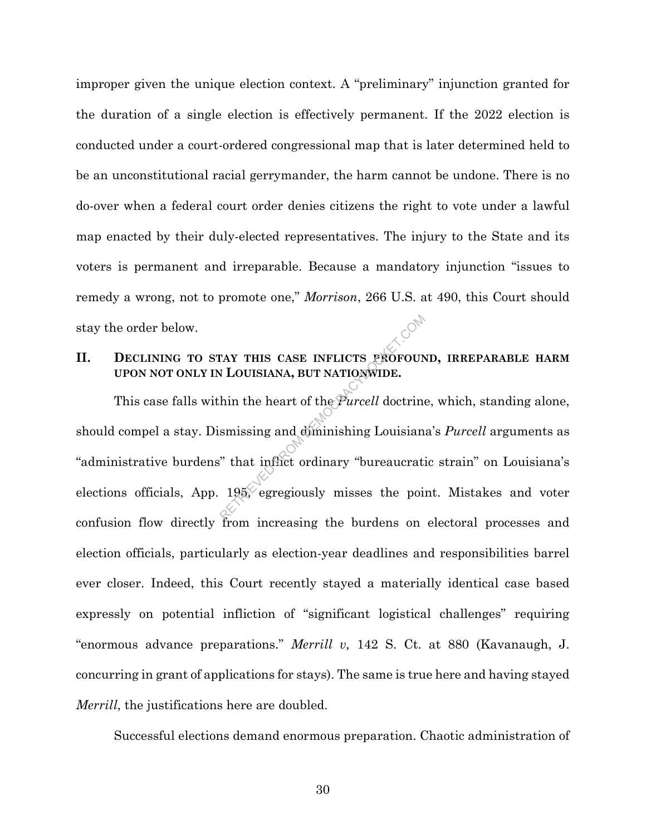improper given the unique election context. A "preliminary" injunction granted for the duration of a single election is effectively permanent. If the 2022 election is conducted under a court-ordered congressional map that is later determined held to be an unconstitutional racial gerrymander, the harm cannot be undone. There is no do-over when a federal court order denies citizens the right to vote under a lawful map enacted by their duly-elected representatives. The injury to the State and its voters is permanent and irreparable. Because a mandatory injunction "issues to remedy a wrong, not to promote one," *Morrison*, 266 U.S. at 490, this Court should stay the order below.

### **II. DECLINING TO STAY THIS CASE INFLICTS PROFOUND, IRREPARABLE HARM UPON NOT ONLY IN LOUISIANA, BUT NATIONWIDE.**

This case falls within the heart of the *Purcell* doctrine, which, standing alone, should compel a stay. Dismissing and diminishing Louisiana's *Purcell* arguments as "administrative burdens" that inflict ordinary "bureaucratic strain" on Louisiana's elections officials, App.  $195\degree$  egregiously misses the point. Mistakes and voter confusion flow directly from increasing the burdens on electoral processes and election officials, particularly as election-year deadlines and responsibilities barrel ever closer. Indeed, this Court recently stayed a materially identical case based expressly on potential infliction of "significant logistical challenges" requiring "enormous advance preparations." *Merrill v,* 142 S. Ct. at 880 (Kavanaugh, J. concurring in grant of applications for stays). The same is true here and having stayed *Merrill*, the justifications here are doubled. EXECUTE AND INTERNATION CONTRACTOR SUPERIOR OF A LOUISIANA, BUT NATIONWIDE.<br>
Similar to the *Purcell* doctrine<br>
similar and diminishing Louisian<br>
That inflict ordinary "bureaucration"<br>
195, egregiously misses the point

Successful elections demand enormous preparation. Chaotic administration of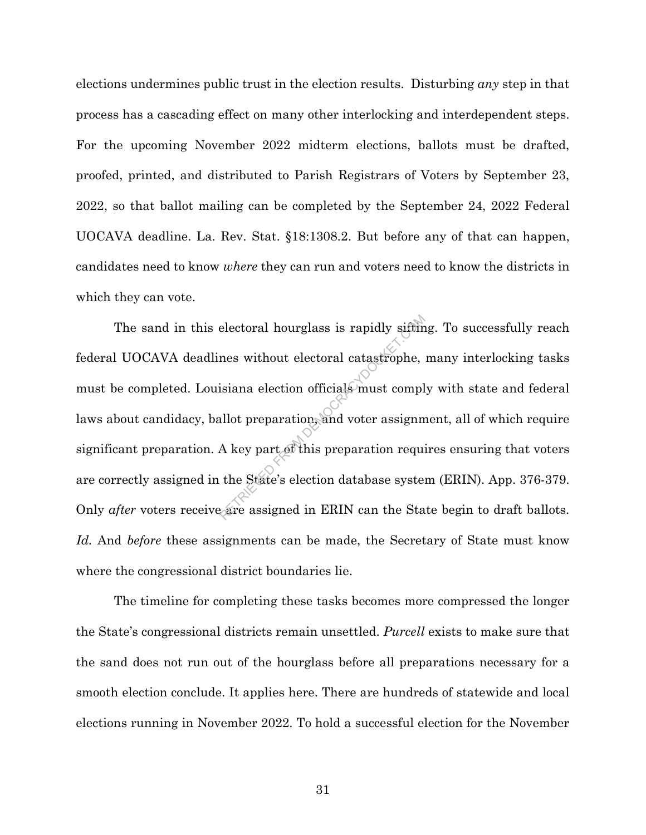elections undermines public trust in the election results. Disturbing *any* step in that process has a cascading effect on many other interlocking and interdependent steps. For the upcoming November 2022 midterm elections, ballots must be drafted, proofed, printed, and distributed to Parish Registrars of Voters by September 23, 2022, so that ballot mailing can be completed by the September 24, 2022 Federal UOCAVA deadline. La. Rev. Stat. §18:1308.2. But before any of that can happen, candidates need to know *where* they can run and voters need to know the districts in which they can vote.

The sand in this electoral hourglass is rapidly sifting. To successfully reach federal UOCAVA deadlines without electoral catastrophe, many interlocking tasks must be completed. Louisiana election officials must comply with state and federal laws about candidacy, ballot preparation, and voter assignment, all of which require significant preparation. A key part of this preparation requires ensuring that voters are correctly assigned in the State's election database system (ERIN). App. 376-379. Only *after* voters receive are assigned in ERIN can the State begin to draft ballots. *Id.* And *before* these assignments can be made, the Secretary of State must know where the congressional district boundaries lie. electoral hourglass is rapidly sifting<br>mes without electoral catastrophe,<br>isiana election officials must compl<br>allot preparation, and voter assignm<br>A key part of this preparation required<br>the State's election database syst

The timeline for completing these tasks becomes more compressed the longer the State's congressional districts remain unsettled. *Purcell* exists to make sure that the sand does not run out of the hourglass before all preparations necessary for a smooth election conclude. It applies here. There are hundreds of statewide and local elections running in November 2022. To hold a successful election for the November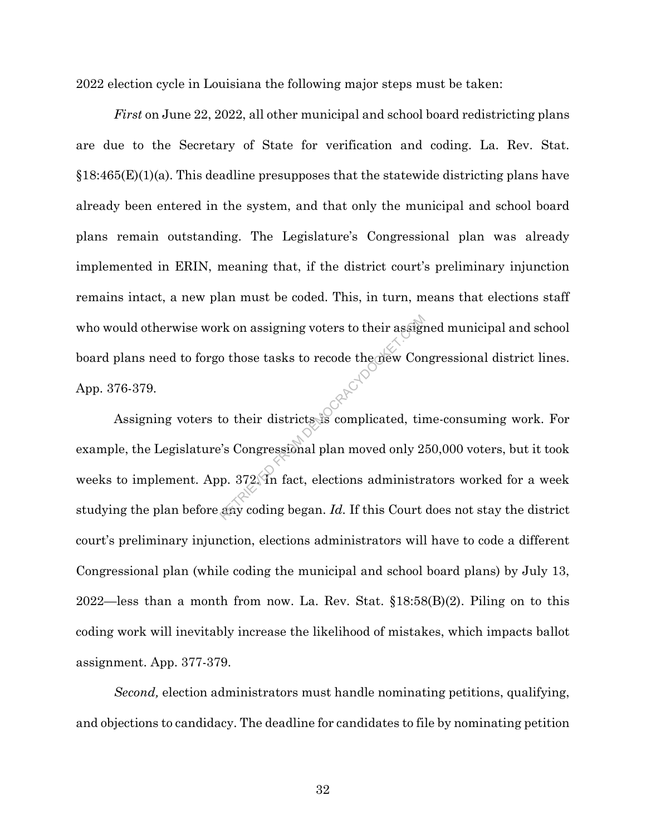2022 election cycle in Louisiana the following major steps must be taken:

*First* on June 22, 2022, all other municipal and school board redistricting plans are due to the Secretary of State for verification and coding. La. Rev. Stat.  $§18:465(E)(1)(a)$ . This deadline presupposes that the statewide districting plans have already been entered in the system, and that only the municipal and school board plans remain outstanding. The Legislature's Congressional plan was already implemented in ERIN, meaning that, if the district court's preliminary injunction remains intact, a new plan must be coded. This, in turn, means that elections staff who would otherwise work on assigning voters to their assigned municipal and school board plans need to forgo those tasks to recode the new Congressional district lines. App. 376-379.

Assigning voters to their districts is complicated, time-consuming work. For example, the Legislature's Congressional plan moved only 250,000 voters, but it took weeks to implement. App. 372. In fact, elections administrators worked for a week studying the plan before any coding began. *Id.* If this Court does not stay the district court's preliminary injunction, elections administrators will have to code a different Congressional plan (while coding the municipal and school board plans) by July 13, 2022—less than a month from now. La. Rev. Stat. §18:58(B)(2). Piling on to this coding work will inevitably increase the likelihood of mistakes, which impacts ballot assignment. App. 377-379. FROM assigning voters to their assign<br>to those tasks to recode the new Corn of their districts is complicated, tirely<br>complicated, the second parameter of the Magnetics of the Source of the Source<br>p. 372 In fact, election

*Second,* election administrators must handle nominating petitions, qualifying, and objections to candidacy. The deadline for candidates to file by nominating petition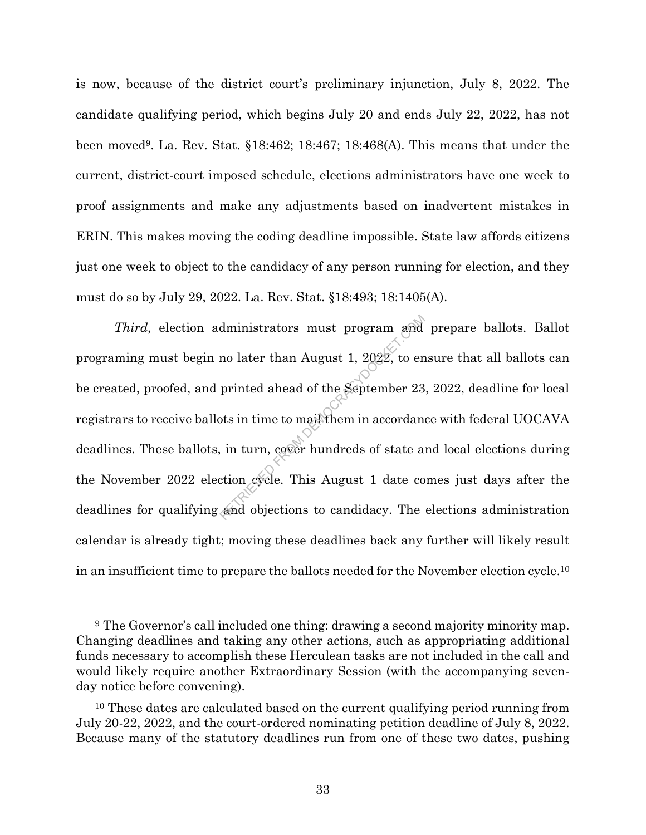is now, because of the district court's preliminary injunction, July 8, 2022. The candidate qualifying period, which begins July 20 and ends July 22, 2022, has not been moved9. La. Rev. Stat. §18:462; 18:467; 18:468(A). This means that under the current, district-court imposed schedule, elections administrators have one week to proof assignments and make any adjustments based on inadvertent mistakes in ERIN. This makes moving the coding deadline impossible. State law affords citizens just one week to object to the candidacy of any person running for election, and they must do so by July 29, 2022. La. Rev. Stat. §18:493; 18:1405(A).

*Third,* election administrators must program and prepare ballots. Ballot programing must begin no later than August 1,  $2022$ , to ensure that all ballots can be created, proofed, and printed ahead of the September 23, 2022, deadline for local registrars to receive ballots in time to mail them in accordance with federal UOCAVA deadlines. These ballots, in turn, cover hundreds of state and local elections during the November 2022 election cycle. This August 1 date comes just days after the deadlines for qualifying and objections to candidacy. The elections administration calendar is already tight; moving these deadlines back any further will likely result in an insufficient time to prepare the ballots needed for the November election cycle.<sup>10</sup> dministrators must program and<br>no later than August 1, 2022, to en<br>printed ahead of the September 23<br>ots in time to mail them in accordan<br>in in turn, cover hundreds of state a<br>ction cycle. This August 1 date co<br>and objecti

<sup>9</sup> The Governor's call included one thing: drawing a second majority minority map. Changing deadlines and taking any other actions, such as appropriating additional funds necessary to accomplish these Herculean tasks are not included in the call and would likely require another Extraordinary Session (with the accompanying sevenday notice before convening).

<sup>&</sup>lt;sup>10</sup> These dates are calculated based on the current qualifying period running from July 20-22, 2022, and the court-ordered nominating petition deadline of July 8, 2022. Because many of the statutory deadlines run from one of these two dates, pushing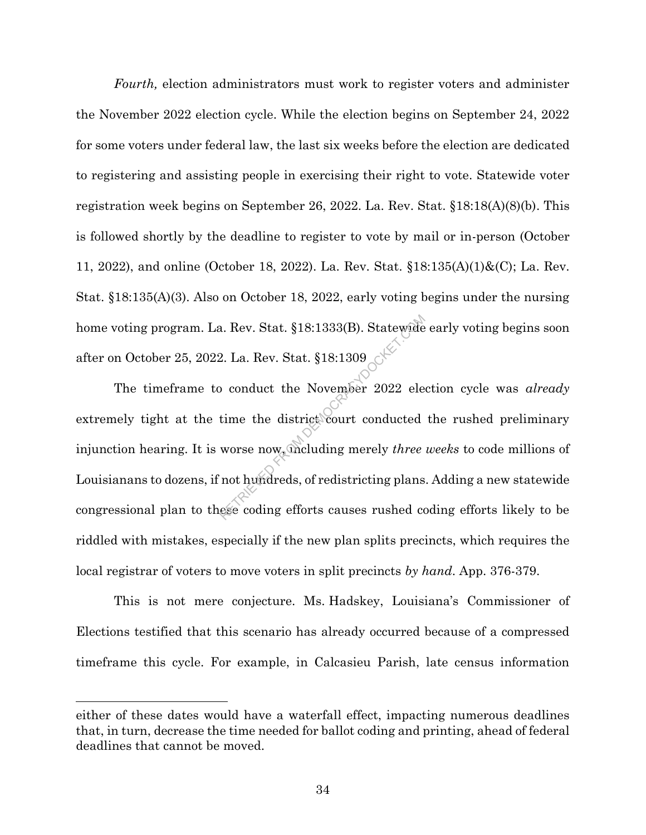*Fourth,* election administrators must work to register voters and administer the November 2022 election cycle. While the election begins on September 24, 2022 for some voters under federal law, the last six weeks before the election are dedicated to registering and assisting people in exercising their right to vote. Statewide voter registration week begins on September 26, 2022. La. Rev. Stat. §18:18(A)(8)(b). This is followed shortly by the deadline to register to vote by mail or in-person (October 11, 2022), and online (October 18, 2022). La. Rev. Stat. §18:135(A)(1)&(C); La. Rev. Stat. §18:135(A)(3). Also on October 18, 2022, early voting begins under the nursing home voting program. La. Rev. Stat. §18:1333(B). Statewide early voting begins soon after on October 25, 2022. La. Rev. Stat. §18:1309

The timeframe to conduct the November 2022 election cycle was *already* extremely tight at the time the district court conducted the rushed preliminary injunction hearing. It is worse now, including merely *three weeks* to code millions of Louisianans to dozens, if not hundreds, of redistricting plans. Adding a new statewide congressional plan to these coding efforts causes rushed coding efforts likely to be riddled with mistakes, especially if the new plan splits precincts, which requires the local registrar of voters to move voters in split precincts *by hand*. App. 376-379. RETRIEU SIS:1333(B). Statewide<br>
RETRIEU SIS:1309<br>
Conduct the November 2022 electime the district court conducted<br>
worse now, the district court conducted<br>
worse now, the district court conducted<br>
not hundreds, of redistri

This is not mere conjecture. Ms. Hadskey, Louisiana's Commissioner of Elections testified that this scenario has already occurred because of a compressed timeframe this cycle. For example, in Calcasieu Parish, late census information

 $\overline{a}$ 

either of these dates would have a waterfall effect, impacting numerous deadlines that, in turn, decrease the time needed for ballot coding and printing, ahead of federal deadlines that cannot be moved.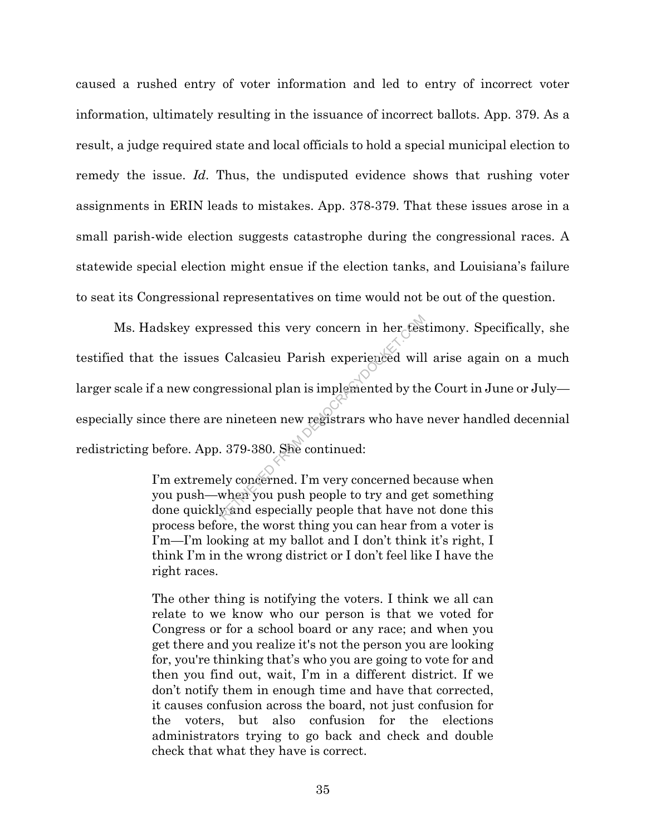caused a rushed entry of voter information and led to entry of incorrect voter information, ultimately resulting in the issuance of incorrect ballots. App. 379. As a result, a judge required state and local officials to hold a special municipal election to remedy the issue. *Id*. Thus, the undisputed evidence shows that rushing voter assignments in ERIN leads to mistakes. App. 378-379. That these issues arose in a small parish-wide election suggests catastrophe during the congressional races. A statewide special election might ensue if the election tanks, and Louisiana's failure to seat its Congressional representatives on time would not be out of the question.

Ms. Hadskey expressed this very concern in her testimony. Specifically, she testified that the issues Calcasieu Parish experienced will arise again on a much larger scale if a new congressional plan is implemented by the Court in June or July especially since there are nineteen new registrars who have never handled decennial redistricting before. App. 379-380. She continued: ressed this very concern in her test<br>Calcasieu Parish experienced will<br>ressional plan is implemented by the<br>enineteen new registrars who have<br>. 379-380. She continued:<br>ly concerned. I'm very concerned be<br>when you push peop

I'm extremely concerned. I'm very concerned because when you push—when you push people to try and get something done quickly and especially people that have not done this process before, the worst thing you can hear from a voter is I'm—I'm looking at my ballot and I don't think it's right, I think I'm in the wrong district or I don't feel like I have the right races.

The other thing is notifying the voters. I think we all can relate to we know who our person is that we voted for Congress or for a school board or any race; and when you get there and you realize it's not the person you are looking for, you're thinking that's who you are going to vote for and then you find out, wait, I'm in a different district. If we don't notify them in enough time and have that corrected, it causes confusion across the board, not just confusion for the voters, but also confusion for the elections administrators trying to go back and check and double check that what they have is correct.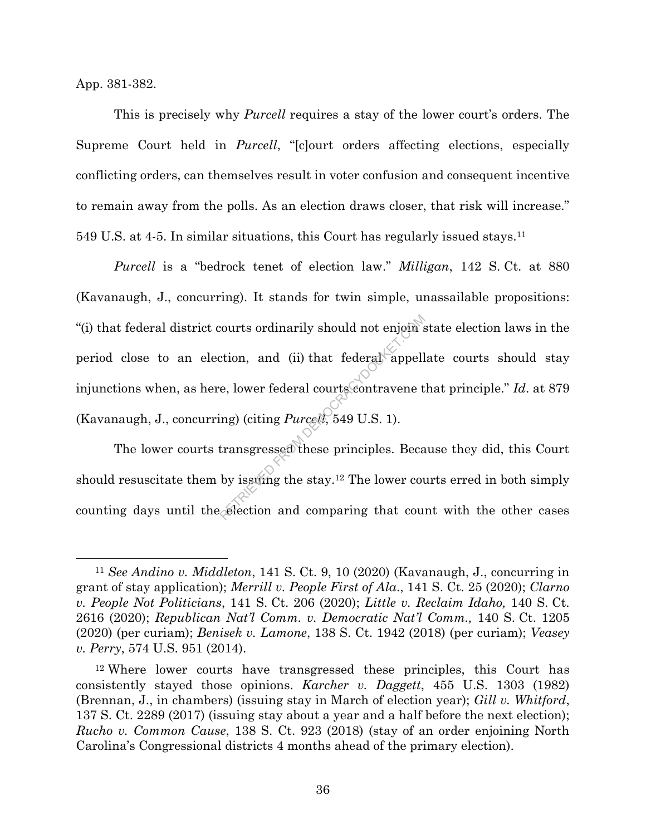App. 381-382.

This is precisely why *Purcell* requires a stay of the lower court's orders. The Supreme Court held in *Purcell*, "[c]ourt orders affecting elections, especially conflicting orders, can themselves result in voter confusion and consequent incentive to remain away from the polls. As an election draws closer, that risk will increase." 549 U.S. at 4-5. In similar situations, this Court has regularly issued stays. 11

*Purcell* is a "bedrock tenet of election law." *Milligan*, 142 S. Ct. at 880 (Kavanaugh, J., concurring). It stands for twin simple, unassailable propositions: "(i) that federal district courts ordinarily should not enjoin state election laws in the period close to an election, and (ii) that federal appellate courts should stay injunctions when, as here, lower federal courts contravene that principle." *Id*. at 879 (Kavanaugh, J., concurring) (citing *Purcell*, 549 U.S. 1). Retion, and (ii) that federal appell<br>e, lower federal courts contravene t<br>ing) (citing *Purcell*, 549 U.S. 1).<br>transgressed these principles. Beca<br>by issumg the stay.<sup>12</sup> The lower counterly in the stay.<sup>12</sup> The lower coun

The lower courts transgressed these principles. Because they did, this Court should resuscitate them by issuing the stay. <sup>12</sup> The lower courts erred in both simply counting days until the election and comparing that count with the other cases

<sup>11</sup> *See Andino v. Middleton*, 141 S. Ct. 9, 10 (2020) (Kavanaugh, J., concurring in grant of stay application); *Merrill v. People First of Ala*., 141 S. Ct. 25 (2020); *Clarno v. People Not Politicians*, 141 S. Ct. 206 (2020); *Little v. Reclaim Idaho,* 140 S. Ct. 2616 (2020); *Republican Nat'l Comm. v. Democratic Nat'l Comm.,* 140 S. Ct. 1205 (2020) (per curiam); *Benisek v. Lamone*, 138 S. Ct. 1942 (2018) (per curiam); *Veasey v. Perry*, 574 U.S. 951 (2014).

<sup>12</sup> Where lower courts have transgressed these principles, this Court has consistently stayed those opinions. *Karcher v. Daggett*, 455 U.S. 1303 (1982) (Brennan, J., in chambers) (issuing stay in March of election year); *Gill v. Whitford*, 137 S. Ct. 2289 (2017) (issuing stay about a year and a half before the next election); *Rucho v. Common Cause*, 138 S. Ct. 923 (2018) (stay of an order enjoining North Carolina's Congressional districts 4 months ahead of the primary election).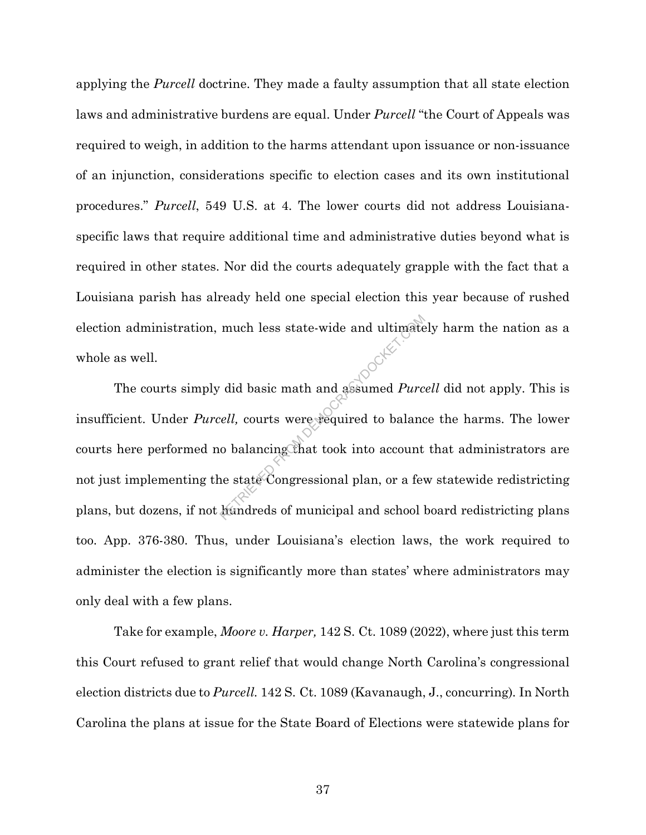applying the *Purcell* doctrine. They made a faulty assumption that all state election laws and administrative burdens are equal. Under *Purcell* "the Court of Appeals was required to weigh, in addition to the harms attendant upon issuance or non-issuance of an injunction, considerations specific to election cases and its own institutional procedures." *Purcell*, 549 U.S. at 4. The lower courts did not address Louisianaspecific laws that require additional time and administrative duties beyond what is required in other states. Nor did the courts adequately grapple with the fact that a Louisiana parish has already held one special election this year because of rushed election administration, much less state-wide and ultimately harm the nation as a whole as well.

The courts simply did basic math and assumed *Purcell* did not apply. This is insufficient. Under *Purcell,* courts were required to balance the harms. The lower courts here performed no balancing that took into account that administrators are not just implementing the state Congressional plan, or a few statewide redistricting plans, but dozens, if not hundreds of municipal and school board redistricting plans too. App. 376-380. Thus, under Louisiana's election laws, the work required to administer the election is significantly more than states' where administrators may only deal with a few plans. much less state-wide and ultimate<br>
did basic math and assumed *Purc*<br>
ell, courts were required to balance<br>
o balancing that took into account<br>
ne state Congressional plan, or a few<br>
andreds of municipal and school

Take for example, *Moore v. Harper,* 142 S. Ct. 1089 (2022), where just this term this Court refused to grant relief that would change North Carolina's congressional election districts due to *Purcell.* 142 S. Ct. 1089 (Kavanaugh, J., concurring)*.* In North Carolina the plans at issue for the State Board of Elections were statewide plans for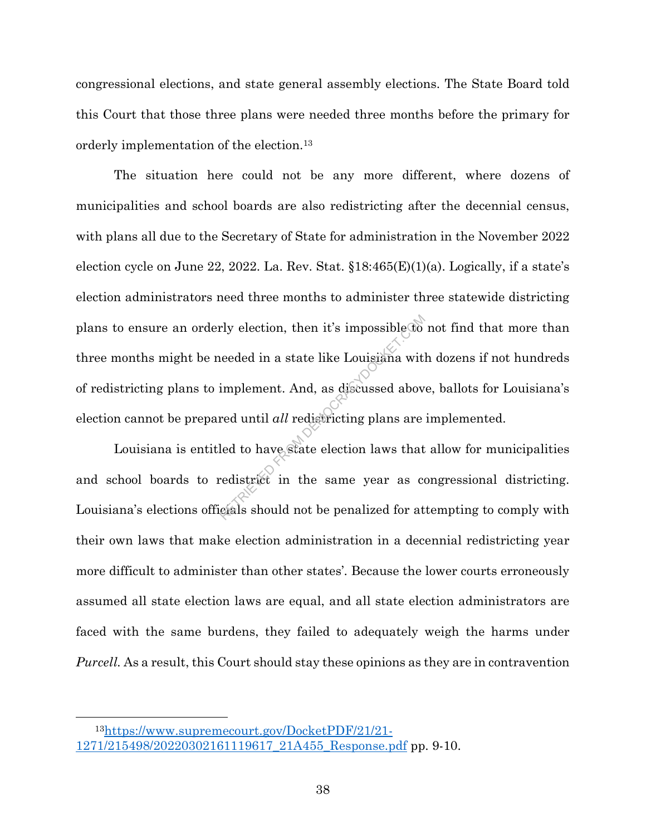congressional elections, and state general assembly elections. The State Board told this Court that those three plans were needed three months before the primary for orderly implementation of the election.<sup>13</sup>

The situation here could not be any more different, where dozens of municipalities and school boards are also redistricting after the decennial census, with plans all due to the Secretary of State for administration in the November 2022 election cycle on June 22, 2022. La. Rev. Stat.  $\S 18:465(E)(1)(a)$ . Logically, if a state's election administrators need three months to administer three statewide districting plans to ensure an orderly election, then it's impossible to not find that more than three months might be needed in a state like Louisiana with dozens if not hundreds of redistricting plans to implement. And, as discussed above, ballots for Louisiana's election cannot be prepared until *all* redistricting plans are implemented. rly election, then it's impossible to<br>ieeded in a state like Louisiana with<br>implement. And, as discussed abov<br>red until *all* redistricting plans are<br>led to have state election laws that<br>redistrict in the same year as cons

Louisiana is entitled to have state election laws that allow for municipalities and school boards to redistrict in the same year as congressional districting. Louisiana's elections officials should not be penalized for attempting to comply with their own laws that make election administration in a decennial redistricting year more difficult to administer than other states'. Because the lower courts erroneously assumed all state election laws are equal, and all state election administrators are faced with the same burdens, they failed to adequately weigh the harms under *Purcell.* As a result, this Court should stay these opinions as they are in contravention

<sup>13</sup>https://www.supremecourt.gov/DocketPDF/21/21- 1271/215498/20220302161119617\_21A455\_Response.pdf pp. 9-10.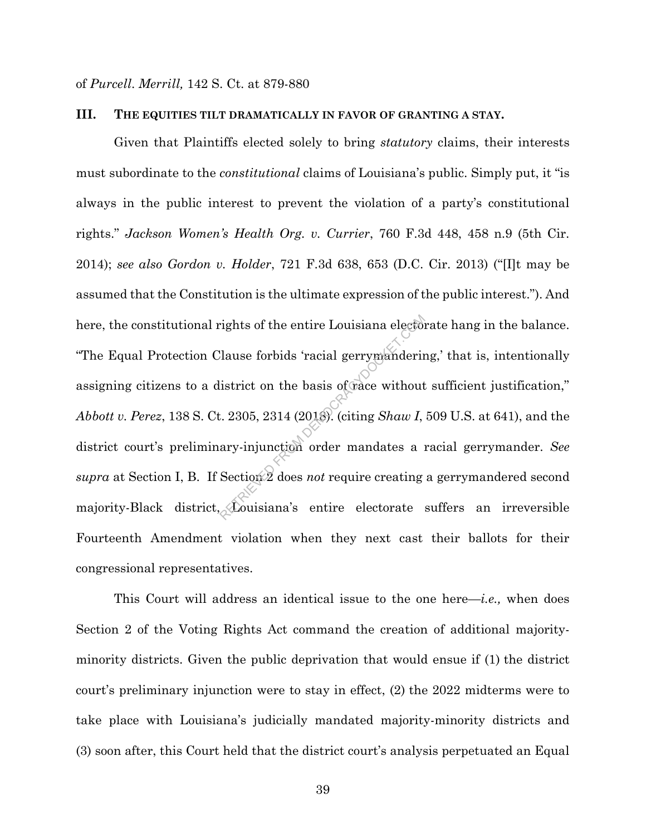of *Purcell*. *Merrill,* 142 S. Ct. at 879-880

#### **III. THE EQUITIES TILT DRAMATICALLY IN FAVOR OF GRANTING A STAY.**

Given that Plaintiffs elected solely to bring *statutory* claims, their interests must subordinate to the *constitutional* claims of Louisiana's public. Simply put, it "is always in the public interest to prevent the violation of a party's constitutional rights." *Jackson Women's Health Org. v. Currier*, 760 F.3d 448, 458 n.9 (5th Cir. 2014); *see also Gordon v. Holder*, 721 F.3d 638, 653 (D.C. Cir. 2013) ("[I]t may be assumed that the Constitution is the ultimate expression of the public interest."). And here, the constitutional rights of the entire Louisiana electorate hang in the balance. "The Equal Protection Clause forbids 'racial gerrymandering,' that is, intentionally assigning citizens to a district on the basis of race without sufficient justification," *Abbott v. Perez*, 138 S. Ct. 2305, 2314 (2018). (citing *Shaw I*, 509 U.S. at 641), and the district court's preliminary-injunction order mandates a racial gerrymander. *See supra* at Section I, B. If Section 2 does *not* require creating a gerrymandered second majority-Black district, Louisiana's entire electorate suffers an irreversible Fourteenth Amendment violation when they next cast their ballots for their congressional representatives. rights of the entire Louisiana elector<br>Clause forbids 'racial gerrymanderin'<br>istrict on the basis of trace without<br>istrict on the basis of trace without<br>istrict on the basis of trace without<br>ary-injunction order mandates a

This Court will address an identical issue to the one here—*i.e.,* when does Section 2 of the Voting Rights Act command the creation of additional majorityminority districts. Given the public deprivation that would ensue if (1) the district court's preliminary injunction were to stay in effect, (2) the 2022 midterms were to take place with Louisiana's judicially mandated majority-minority districts and (3) soon after, this Court held that the district court's analysis perpetuated an Equal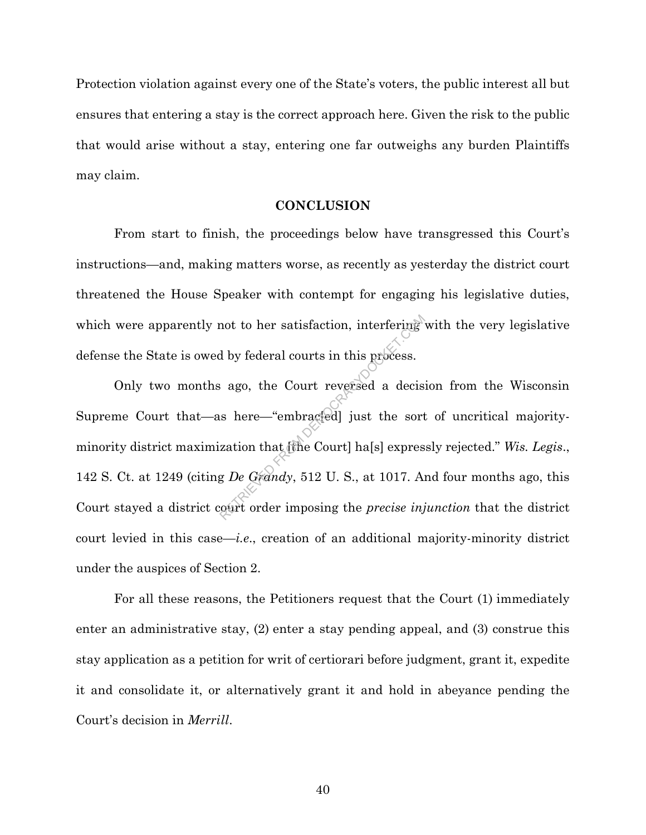Protection violation against every one of the State's voters, the public interest all but ensures that entering a stay is the correct approach here. Given the risk to the public that would arise without a stay, entering one far outweighs any burden Plaintiffs may claim.

#### **CONCLUSION**

From start to finish, the proceedings below have transgressed this Court's instructions—and, making matters worse, as recently as yesterday the district court threatened the House Speaker with contempt for engaging his legislative duties, which were apparently not to her satisfaction, interfering with the very legislative defense the State is owed by federal courts in this process.

Only two months ago, the Court reversed a decision from the Wisconsin Supreme Court that—as here—"embrac[ed] just the sort of uncritical majorityminority district maximization that [the Court] ha[s] expressly rejected." *Wis. Legis*., 142 S. Ct. at 1249 (citing *De Grandy*, 512 U. S., at 1017. And four months ago, this Court stayed a district court order imposing the *precise injunction* that the district court levied in this case—*i.e*., creation of an additional majority-minority district under the auspices of Section 2. not to her satisfaction, interfering<br>d by federal courts in this process.<br>a ago, the Court reversed a decist<br>is here—"embracted] just the sort<br>zation that the Court] ha[s] expres<br>g De Grandy, 512 U. S., at 1017. An

For all these reasons, the Petitioners request that the Court (1) immediately enter an administrative stay, (2) enter a stay pending appeal, and (3) construe this stay application as a petition for writ of certiorari before judgment, grant it, expedite it and consolidate it, or alternatively grant it and hold in abeyance pending the Court's decision in *Merrill*.